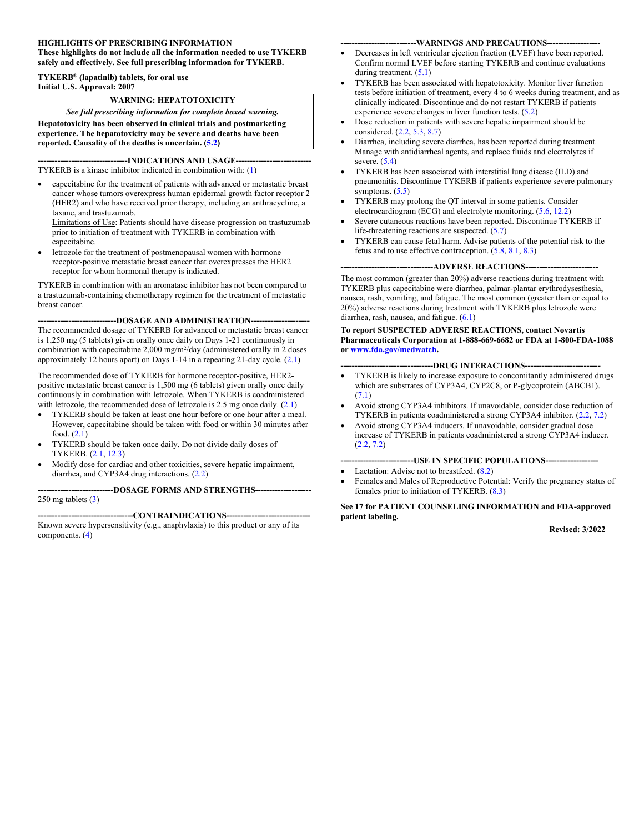#### **HIGHLIGHTS OF PRESCRIBING INFORMATION**

**These highlights do not include all the information needed to use TYKERB safely and effectively. See full prescribing information for TYKERB.**

#### **TYKERB® (lapatinib) tablets, for oral use Initial U.S. Approval: 2007**

#### **WARNING: HEPATOTOXICITY**

*See full prescribing information for complete boxed warning.* **Hepatotoxicity has been observed in clinical trials and postmarketing experience. The hepatotoxicity may be severe and deaths have been reported. Causality of the deaths is uncertain. ([5.2\)](#page-4-0)**

**-INDICATIONS AND USAGE---**TYKERB is a kinase inhibitor indicated in combination with: ([1\)](#page-2-0)

 capecitabine for the treatment of patients with advanced or metastatic breast cancer whose tumors overexpress human epidermal growth factor receptor 2 (HER2) and who have received prior therapy, including an anthracycline, a taxane, and trastuzumab.

Limitations of Use: Patients should have disease progression on trastuzumab prior to initiation of treatment with TYKERB in combination with capecitabine.

 letrozole for the treatment of postmenopausal women with hormone receptor-positive metastatic breast cancer that overexpresses the HER2 receptor for whom hormonal therapy is indicated.

TYKERB in combination with an aromatase inhibitor has not been compared to a trastuzumab-containing chemotherapy regimen for the treatment of metastatic breast cancer.

#### **----------------------------DOSAGE AND ADMINISTRATION---------------------**

The recommended dosage of TYKERB for advanced or metastatic breast cancer is 1,250 mg (5 tablets) given orally once daily on Days 1-21 continuously in combination with capecitabine  $2,000 \text{ mg/m}^2/\text{day}$  (administered orally in 2 doses approximately 12 hours apart) on Days 1-14 in a repeating 21-day cycle. [\(2.1](#page-2-1))

The recommended dose of TYKERB for hormone receptor-positive, HER2 positive metastatic breast cancer is 1,500 mg (6 tablets) given orally once daily continuously in combination with letrozole. When TYKERB is coadministered with letrozole, the recommended dose of letrozole is 2.5 mg once daily.  $(2.1)$  $(2.1)$ 

- TYKERB should be taken at least one hour before or one hour after a meal. However, capecitabine should be taken with food or within 30 minutes after food. ([2.1\)](#page-2-1)
- TYKERB should be taken once daily. Do not divide daily doses of TYKERB. [\(2.1](#page-2-1), [12.3](#page-13-0))
- Modify dose for cardiac and other toxicities, severe hepatic impairment, diarrhea, and CYP3A4 drug interactions. [\(2.2](#page-2-2))

**---------------------------DOSAGE FORMS AND STRENGTHS--------------------** 250 mg tablets ([3\)](#page-3-0)

-CONTRAINDICATIONS----Known severe hypersensitivity (e.g., anaphylaxis) to this product or any of its components. [\(4](#page-3-1))

#### ---WARNINGS AND PRECAUTIONS----

- Decreases in left ventricular ejection fraction (LVEF) have been reported. Confirm normal LVEF before starting TYKERB and continue evaluations during treatment. [\(5.1](#page-3-2))
- TYKERB has been associated with hepatotoxicity. Monitor liver function tests before initiation of treatment, every 4 to 6 weeks during treatment, and as clinically indicated. Discontinue and do not restart TYKERB if patients experience severe changes in liver function tests. ([5.2\)](#page-4-0)
- Dose reduction in patients with severe hepatic impairment should be considered. ([2.2,](#page-2-2) [5.3,](#page-4-1) [8.7\)](#page-12-0)
- Diarrhea, including severe diarrhea, has been reported during treatment. Manage with antidiarrheal agents, and replace fluids and electrolytes if severe. ([5.4\)](#page-4-2)
- TYKERB has been associated with interstitial lung disease (ILD) and pneumonitis. Discontinue TYKERB if patients experience severe pulmonary symptoms. [\(5.5](#page-4-3))
- TYKERB may prolong the QT interval in some patients. Consider electrocardiogram (ECG) and electrolyte monitoring. ([5.6,](#page-4-4) [12.2\)](#page-13-1)
- Severe cutaneous reactions have been reported. Discontinue TYKERB if life-threatening reactions are suspected. [\(5.7](#page-4-5))
- TYKERB can cause fetal harm. Advise patients of the potential risk to the fetus and to use effective contraception. ([5.8,](#page-5-0) [8.1,](#page-10-0) [8.3\)](#page-11-0)

-ADVERSE REACTIONS-

The most common (greater than 20%) adverse reactions during treatment with TYKERB plus capecitabine were diarrhea, palmar-plantar erythrodysesthesia, nausea, rash, vomiting, and fatigue. The most common (greater than or equal to 20%) adverse reactions during treatment with TYKERB plus letrozole were diarrhea, rash, nausea, and fatigue. ([6.1\)](#page-5-1)

#### **To report SUSPECTED ADVERSE REACTIONS, contact Novartis Pharmaceuticals Corporation at 1-888-669-6682 or FDA at 1-800-FDA-1088 or [www.fda.gov/medwatch](http://www.fda.gov/medwatch).**

#### --DRUG INTERACTIONS----

- TYKERB is likely to increase exposure to concomitantly administered drugs which are substrates of CYP3A4, CYP2C8, or P-glycoprotein (ABCB1). [\(7.1](#page-9-0))
- Avoid strong CYP3A4 inhibitors. If unavoidable, consider dose reduction of TYKERB in patients coadministered a strong CYP3A4 inhibitor. ([2.2,](#page-2-2) [7.2\)](#page-10-1)
- Avoid strong CYP3A4 inducers. If unavoidable, consider gradual dose increase of TYKERB in patients coadministered a strong CYP3A4 inducer. [\(2.2](#page-2-2), [7.2](#page-10-1))

#### **--------------------------USE IN SPECIFIC POPULATIONS-------------------**

- Lactation: Advise not to breastfeed.  $(8.2)$  $(8.2)$
- Females and Males of Reproductive Potential: Verify the pregnancy status of females prior to initiation of TYKERB. [\(8.3](#page-11-0))

#### **See 17 for PATIENT COUNSELING INFORMATION and FDA-approved patient labeling.**

**Revised: 3/2022**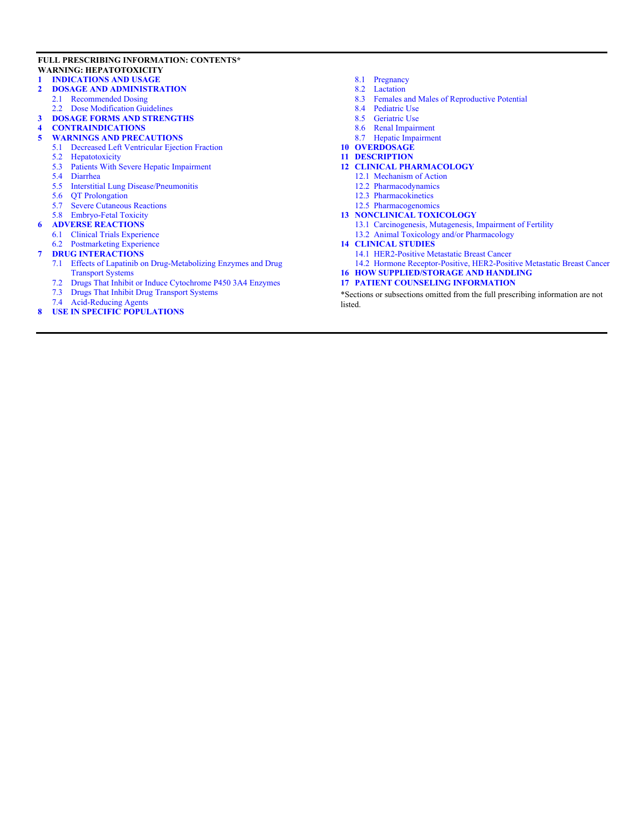#### **FULL PRESCRIBING INFORMATION: CONTENTS\* WARNING: HEPATOTOXICITY**

#### **[1 INDICATIONS AND USAGE](#page-2-0)**

- **[2 DOSAGE AND ADMINISTRATION](#page-2-3)**
	- [2.1 Recommended Dosing](#page-2-1)
	- [2.2 Dose Modification Guidelines](#page-2-2)
- **[3 DOSAGE FORMS AND STRENGTHS](#page-3-0)**
- **[4 CONTRAINDICATIONS](#page-3-1)**
- **[5 WARNINGS AND PRECAUTIONS](#page-3-3)**
	- [5.1 Decreased Left Ventricular Ejection Fraction](#page-3-2)
	- [5.2 Hepatotoxicity](#page-4-0)
	- [5.3 Patients With Severe Hepatic Impairment](#page-4-1)
	- [5.4 Diarrhea](#page-4-2)
	- [5.5 Interstitial Lung Disease/Pneumonitis](#page-4-3)
	- [5.6 QT Prolongation](#page-4-4)
	- [5.7 Severe Cutaneous Reactions](#page-4-5)
	- [5.8 Embryo-Fetal Toxicity](#page-5-0)
- **[6 ADVERSE REACTIONS](#page-5-2)**
	- [6.1 Clinical Trials Experience](#page-5-1)
- [6.2 Postmarketing Experience](#page-9-1)
- **[7 DRUG INTERACTIONS](#page-9-2)**
	- [7.1 Effects of Lapatinib on Drug-Metabolizing Enzymes and Drug](#page-9-0)  [Transport Systems](#page-9-0)
	- [7.2 Drugs That Inhibit or Induce Cytochrome P450 3A4 Enzymes](#page-10-1)
	- [7.3 Drugs That Inhibit Drug Transport Systems](#page-10-2)
	- [7.4 Acid-Reducing Agents](#page-10-3)
- **[8 USE IN SPECIFIC POPULATIONS](#page-10-4)**
- [8.1 Pregnancy](#page-10-0)
- [8.2 Lactation](#page-11-1)
- [8.3 Females and Males of Reproductive Potential](#page-11-0)
- [8.4 Pediatric Use](#page-11-2)
- [8.5 Geriatric Use](#page-11-3)
- [8.6 Renal Impairment](#page-12-1)
- [8.7 Hepatic Impairment](#page-12-0)
- **[10 OVERDOSAGE](#page-12-2)**
- **[11 DESCRIPTION](#page-12-3)**
- **[12 CLINICAL PHARMACOLOGY](#page-13-2)**
	- [12.1 Mechanism of Action](#page-13-3)
	- [12.2 Pharmacodynamics](#page-13-1)
	- [12.3 Pharmacokinetics](#page-13-0)
	- [12.5 Pharmacogenomics](#page-14-0)

#### **[13 NONCLINICAL TOXICOLOGY](#page-14-1)**

- [13.1 Carcinogenesis, Mutagenesis, Impairment of Fertility](#page-14-2)
- [13.2 Animal Toxicology and/or Pharmacology](#page-15-0)

#### **[14 CLINICAL STUDIES](#page-15-1)**

- [14.1 HER2-Positive Metastatic Breast Cancer](#page-15-2)
- [14.2 Hormone Receptor-Positive, HER2-Positive Metastatic Breast Cancer](#page-17-0)
- **[16 HOW SUPPLIED/STORAGE AND HANDLING](#page-20-0)**

#### **[17 PATIENT COUNSELING INFORMATION](#page-20-1)**

\*Sections or subsections omitted from the full prescribing information are not listed.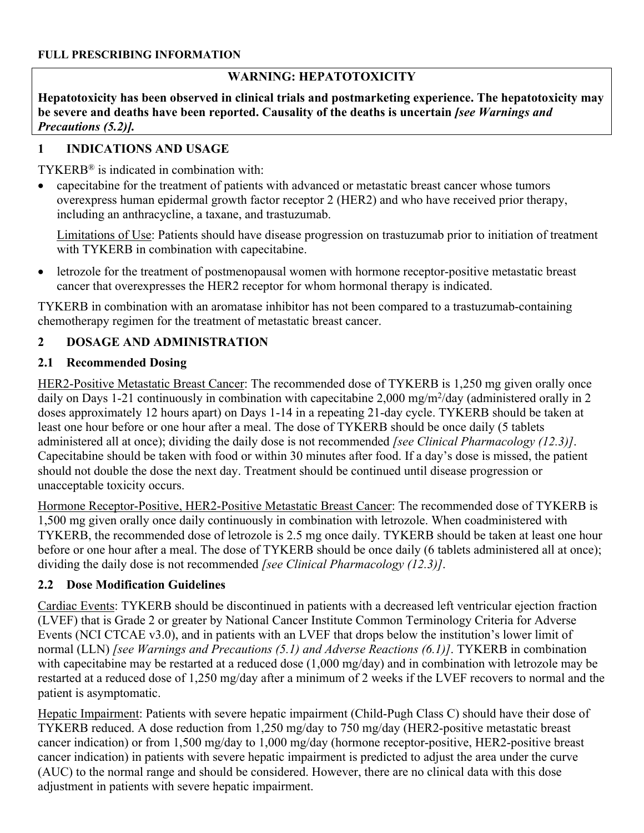## **WARNING: HEPATOTOXICITY**

**Hepatotoxicity has been observed in clinical trials and postmarketing experience. The hepatotoxicity may be severe and deaths have been reported. Causality of the deaths is uncertain** *[see Warnings and Precautions (5.2)].*

# <span id="page-2-0"></span>**1 INDICATIONS AND USAGE**

TYKERB® is indicated in combination with:

 capecitabine for the treatment of patients with advanced or metastatic breast cancer whose tumors overexpress human epidermal growth factor receptor 2 (HER2) and who have received prior therapy, including an anthracycline, a taxane, and trastuzumab.

Limitations of Use: Patients should have disease progression on trastuzumab prior to initiation of treatment with TYKERB in combination with capecitabine.

 letrozole for the treatment of postmenopausal women with hormone receptor-positive metastatic breast cancer that overexpresses the HER2 receptor for whom hormonal therapy is indicated.

TYKERB in combination with an aromatase inhibitor has not been compared to a trastuzumab-containing chemotherapy regimen for the treatment of metastatic breast cancer.

# <span id="page-2-3"></span>**2 DOSAGE AND ADMINISTRATION**

# <span id="page-2-1"></span>**2.1 Recommended Dosing**

HER2-Positive Metastatic Breast Cancer: The recommended dose of TYKERB is 1,250 mg given orally once daily on Days 1-21 continuously in combination with capecitabine 2,000 mg/m<sup>2</sup>/day (administered orally in 2 doses approximately 12 hours apart) on Days 1-14 in a repeating 21-day cycle. TYKERB should be taken at least one hour before or one hour after a meal. The dose of TYKERB should be once daily (5 tablets administered all at once); dividing the daily dose is not recommended *[see Clinical Pharmacology (12.3)]*. Capecitabine should be taken with food or within 30 minutes after food. If a day's dose is missed, the patient should not double the dose the next day. Treatment should be continued until disease progression or unacceptable toxicity occurs.

Hormone Receptor-Positive, HER2-Positive Metastatic Breast Cancer: The recommended dose of TYKERB is 1,500 mg given orally once daily continuously in combination with letrozole. When coadministered with TYKERB, the recommended dose of letrozole is 2.5 mg once daily. TYKERB should be taken at least one hour before or one hour after a meal. The dose of TYKERB should be once daily (6 tablets administered all at once); dividing the daily dose is not recommended *[see Clinical Pharmacology (12.3)]*.

# <span id="page-2-2"></span>**2.2 Dose Modification Guidelines**

Cardiac Events: TYKERB should be discontinued in patients with a decreased left ventricular ejection fraction (LVEF) that is Grade 2 or greater by National Cancer Institute Common Terminology Criteria for Adverse Events (NCI CTCAE v3.0), and in patients with an LVEF that drops below the institution's lower limit of normal (LLN) *[see Warnings and Precautions (5.1) and Adverse Reactions (6.1)]*. TYKERB in combination with capecitabine may be restarted at a reduced dose (1,000 mg/day) and in combination with letrozole may be restarted at a reduced dose of 1,250 mg/day after a minimum of 2 weeks if the LVEF recovers to normal and the patient is asymptomatic.

Hepatic Impairment: Patients with severe hepatic impairment (Child-Pugh Class C) should have their dose of TYKERB reduced. A dose reduction from 1,250 mg/day to 750 mg/day (HER2-positive metastatic breast cancer indication) or from 1,500 mg/day to 1,000 mg/day (hormone receptor-positive, HER2-positive breast cancer indication) in patients with severe hepatic impairment is predicted to adjust the area under the curve (AUC) to the normal range and should be considered. However, there are no clinical data with this dose adjustment in patients with severe hepatic impairment.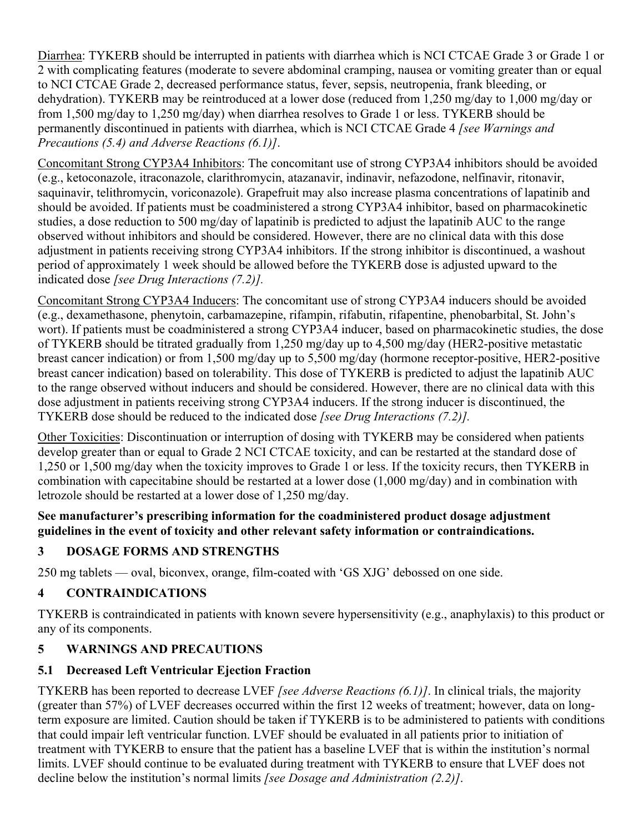Diarrhea: TYKERB should be interrupted in patients with diarrhea which is NCI CTCAE Grade 3 or Grade 1 or 2 with complicating features (moderate to severe abdominal cramping, nausea or vomiting greater than or equal to NCI CTCAE Grade 2, decreased performance status, fever, sepsis, neutropenia, frank bleeding, or dehydration). TYKERB may be reintroduced at a lower dose (reduced from 1,250 mg/day to 1,000 mg/day or from 1,500 mg/day to 1,250 mg/day) when diarrhea resolves to Grade 1 or less. TYKERB should be permanently discontinued in patients with diarrhea, which is NCI CTCAE Grade 4 *[see Warnings and Precautions (5.4) and Adverse Reactions (6.1)]*.

Concomitant Strong CYP3A4 Inhibitors: The concomitant use of strong CYP3A4 inhibitors should be avoided (e.g., ketoconazole, itraconazole, clarithromycin, atazanavir, indinavir, nefazodone, nelfinavir, ritonavir, saquinavir, telithromycin, voriconazole). Grapefruit may also increase plasma concentrations of lapatinib and should be avoided. If patients must be coadministered a strong CYP3A4 inhibitor, based on pharmacokinetic studies, a dose reduction to 500 mg/day of lapatinib is predicted to adjust the lapatinib AUC to the range observed without inhibitors and should be considered. However, there are no clinical data with this dose adjustment in patients receiving strong CYP3A4 inhibitors. If the strong inhibitor is discontinued, a washout period of approximately 1 week should be allowed before the TYKERB dose is adjusted upward to the indicated dose *[see Drug Interactions (7.2)].*

Concomitant Strong CYP3A4 Inducers: The concomitant use of strong CYP3A4 inducers should be avoided (e.g., dexamethasone, phenytoin, carbamazepine, rifampin, rifabutin, rifapentine, phenobarbital, St. John's wort). If patients must be coadministered a strong CYP3A4 inducer, based on pharmacokinetic studies, the dose of TYKERB should be titrated gradually from 1,250 mg/day up to 4,500 mg/day (HER2-positive metastatic breast cancer indication) or from 1,500 mg/day up to 5,500 mg/day (hormone receptor-positive, HER2-positive breast cancer indication) based on tolerability. This dose of TYKERB is predicted to adjust the lapatinib AUC to the range observed without inducers and should be considered. However, there are no clinical data with this dose adjustment in patients receiving strong CYP3A4 inducers. If the strong inducer is discontinued, the TYKERB dose should be reduced to the indicated dose *[see Drug Interactions (7.2)].*

Other Toxicities: Discontinuation or interruption of dosing with TYKERB may be considered when patients develop greater than or equal to Grade 2 NCI CTCAE toxicity, and can be restarted at the standard dose of 1,250 or 1,500 mg/day when the toxicity improves to Grade 1 or less. If the toxicity recurs, then TYKERB in combination with capecitabine should be restarted at a lower dose (1,000 mg/day) and in combination with letrozole should be restarted at a lower dose of 1,250 mg/day.

### **See manufacturer's prescribing information for the coadministered product dosage adjustment guidelines in the event of toxicity and other relevant safety information or contraindications.**

# <span id="page-3-0"></span>**3 DOSAGE FORMS AND STRENGTHS**

250 mg tablets — oval, biconvex, orange, film-coated with 'GS XJG' debossed on one side.

# <span id="page-3-1"></span>**4 CONTRAINDICATIONS**

TYKERB is contraindicated in patients with known severe hypersensitivity (e.g., anaphylaxis) to this product or any of its components.

# <span id="page-3-3"></span>**5 WARNINGS AND PRECAUTIONS**

# <span id="page-3-2"></span>**5.1 Decreased Left Ventricular Ejection Fraction**

TYKERB has been reported to decrease LVEF *[see Adverse Reactions (6.1)]*. In clinical trials, the majority (greater than 57%) of LVEF decreases occurred within the first 12 weeks of treatment; however, data on longterm exposure are limited. Caution should be taken if TYKERB is to be administered to patients with conditions that could impair left ventricular function. LVEF should be evaluated in all patients prior to initiation of treatment with TYKERB to ensure that the patient has a baseline LVEF that is within the institution's normal limits. LVEF should continue to be evaluated during treatment with TYKERB to ensure that LVEF does not decline below the institution's normal limits *[see Dosage and Administration (2.2)]*.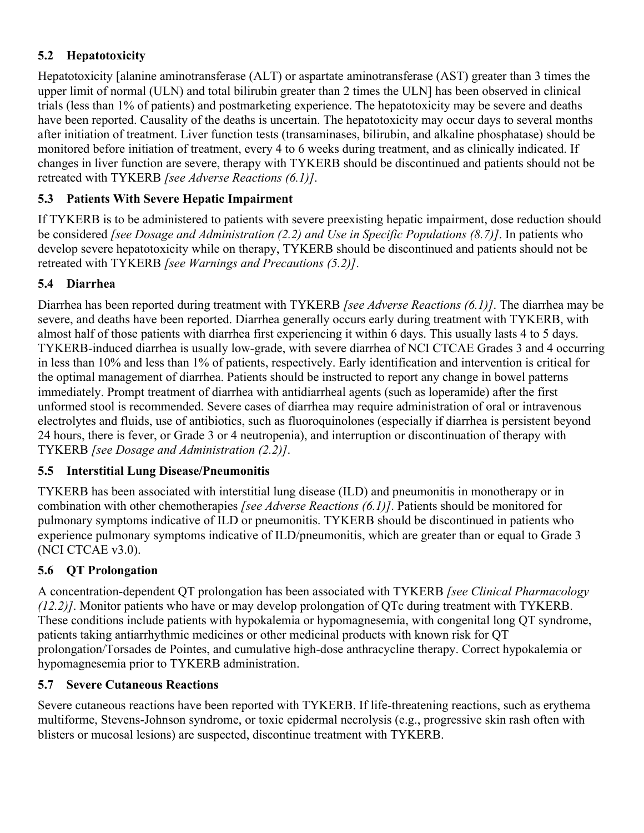# <span id="page-4-0"></span>**5.2 Hepatotoxicity**

Hepatotoxicity [alanine aminotransferase (ALT) or aspartate aminotransferase (AST) greater than 3 times the upper limit of normal (ULN) and total bilirubin greater than 2 times the ULN] has been observed in clinical trials (less than 1% of patients) and postmarketing experience. The hepatotoxicity may be severe and deaths have been reported. Causality of the deaths is uncertain. The hepatotoxicity may occur days to several months after initiation of treatment. Liver function tests (transaminases, bilirubin, and alkaline phosphatase) should be monitored before initiation of treatment, every 4 to 6 weeks during treatment, and as clinically indicated. If changes in liver function are severe, therapy with TYKERB should be discontinued and patients should not be retreated with TYKERB *[see Adverse Reactions (6.1)]*.

# <span id="page-4-1"></span>**5.3 Patients With Severe Hepatic Impairment**

If TYKERB is to be administered to patients with severe preexisting hepatic impairment, dose reduction should be considered *[see Dosage and Administration (2.2) and Use in Specific Populations (8.7)]*. In patients who develop severe hepatotoxicity while on therapy, TYKERB should be discontinued and patients should not be retreated with TYKERB *[see Warnings and Precautions (5.2)]*.

## <span id="page-4-2"></span>**5.4 Diarrhea**

Diarrhea has been reported during treatment with TYKERB *[see Adverse Reactions (6.1)]*. The diarrhea may be severe, and deaths have been reported. Diarrhea generally occurs early during treatment with TYKERB, with almost half of those patients with diarrhea first experiencing it within 6 days. This usually lasts 4 to 5 days. TYKERB-induced diarrhea is usually low-grade, with severe diarrhea of NCI CTCAE Grades 3 and 4 occurring in less than 10% and less than 1% of patients, respectively. Early identification and intervention is critical for the optimal management of diarrhea. Patients should be instructed to report any change in bowel patterns immediately. Prompt treatment of diarrhea with antidiarrheal agents (such as loperamide) after the first unformed stool is recommended. Severe cases of diarrhea may require administration of oral or intravenous electrolytes and fluids, use of antibiotics, such as fluoroquinolones (especially if diarrhea is persistent beyond 24 hours, there is fever, or Grade 3 or 4 neutropenia), and interruption or discontinuation of therapy with TYKERB *[see Dosage and Administration (2.2)]*.

## <span id="page-4-3"></span>**5.5 Interstitial Lung Disease/Pneumonitis**

TYKERB has been associated with interstitial lung disease (ILD) and pneumonitis in monotherapy or in combination with other chemotherapies *[see Adverse Reactions (6.1)]*. Patients should be monitored for pulmonary symptoms indicative of ILD or pneumonitis. TYKERB should be discontinued in patients who experience pulmonary symptoms indicative of ILD/pneumonitis, which are greater than or equal to Grade 3 (NCI CTCAE v3.0).

# <span id="page-4-4"></span>**5.6 QT Prolongation**

A concentration-dependent QT prolongation has been associated with TYKERB *[see Clinical Pharmacology (12.2)]*. Monitor patients who have or may develop prolongation of QTc during treatment with TYKERB. These conditions include patients with hypokalemia or hypomagnesemia, with congenital long QT syndrome, patients taking antiarrhythmic medicines or other medicinal products with known risk for QT prolongation/Torsades de Pointes, and cumulative high-dose anthracycline therapy. Correct hypokalemia or hypomagnesemia prior to TYKERB administration.

## <span id="page-4-5"></span>**5.7 Severe Cutaneous Reactions**

Severe cutaneous reactions have been reported with TYKERB. If life-threatening reactions, such as erythema multiforme, Stevens-Johnson syndrome, or toxic epidermal necrolysis (e.g., progressive skin rash often with blisters or mucosal lesions) are suspected, discontinue treatment with TYKERB.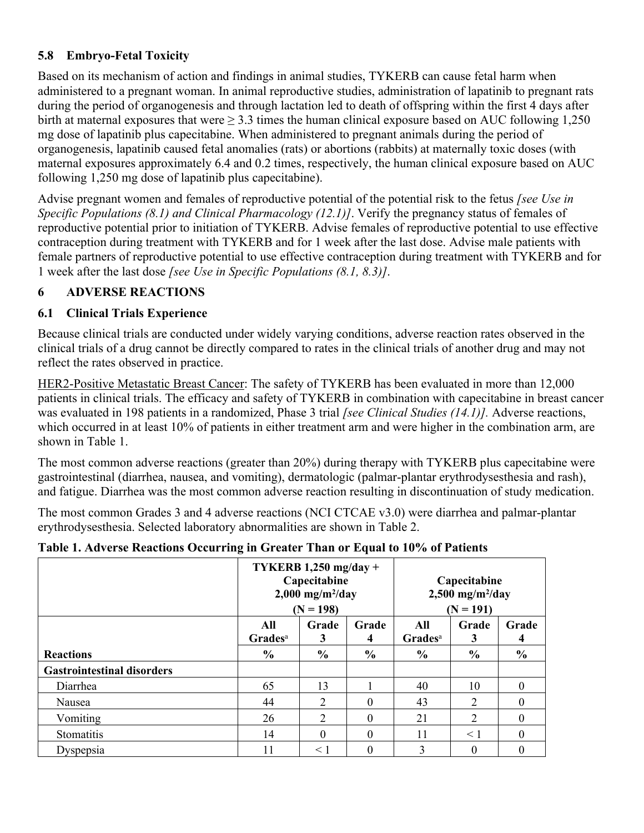# <span id="page-5-0"></span>**5.8 Embryo-Fetal Toxicity**

Based on its mechanism of action and findings in animal studies, TYKERB can cause fetal harm when administered to a pregnant woman. In animal reproductive studies, administration of lapatinib to pregnant rats during the period of organogenesis and through lactation led to death of offspring within the first 4 days after birth at maternal exposures that were  $> 3.3$  times the human clinical exposure based on AUC following 1,250 mg dose of lapatinib plus capecitabine. When administered to pregnant animals during the period of organogenesis, lapatinib caused fetal anomalies (rats) or abortions (rabbits) at maternally toxic doses (with maternal exposures approximately 6.4 and 0.2 times, respectively, the human clinical exposure based on AUC following 1,250 mg dose of lapatinib plus capecitabine).

Advise pregnant women and females of reproductive potential of the potential risk to the fetus *[see Use in Specific Populations (8.1) and Clinical Pharmacology (12.1)]*. Verify the pregnancy status of females of reproductive potential prior to initiation of TYKERB. Advise females of reproductive potential to use effective contraception during treatment with TYKERB and for 1 week after the last dose. Advise male patients with female partners of reproductive potential to use effective contraception during treatment with TYKERB and for 1 week after the last dose *[see Use in Specific Populations (8.1, 8.3)]*.

## <span id="page-5-2"></span>**6 ADVERSE REACTIONS**

## <span id="page-5-1"></span>**6.1 Clinical Trials Experience**

Because clinical trials are conducted under widely varying conditions, adverse reaction rates observed in the clinical trials of a drug cannot be directly compared to rates in the clinical trials of another drug and may not reflect the rates observed in practice.

HER2-Positive Metastatic Breast Cancer: The safety of TYKERB has been evaluated in more than 12,000 patients in clinical trials. The efficacy and safety of TYKERB in combination with capecitabine in breast cancer was evaluated in 198 patients in a randomized, Phase 3 trial *[see Clinical Studies (14.1)].* Adverse reactions, which occurred in at least 10% of patients in either treatment arm and were higher in the combination arm, are shown in Table 1.

The most common adverse reactions (greater than 20%) during therapy with TYKERB plus capecitabine were gastrointestinal (diarrhea, nausea, and vomiting), dermatologic (palmar-plantar erythrodysesthesia and rash), and fatigue. Diarrhea was the most common adverse reaction resulting in discontinuation of study medication.

The most common Grades 3 and 4 adverse reactions (NCI CTCAE v3.0) were diarrhea and palmar-plantar erythrodysesthesia. Selected laboratory abnormalities are shown in Table 2.

|                                   | -                          |                                                                                          | л.            |                            |                                                               |               |
|-----------------------------------|----------------------------|------------------------------------------------------------------------------------------|---------------|----------------------------|---------------------------------------------------------------|---------------|
|                                   |                            | TYKERB $1,250$ mg/day +<br>Capecitabine<br>$2,000$ mg/m <sup>2</sup> /day<br>$(N = 198)$ |               |                            | Capecitabine<br>$2,500$ mg/m <sup>2</sup> /day<br>$(N = 191)$ |               |
|                                   | All<br>Grades <sup>a</sup> | Grade<br>3                                                                               | Grade<br>4    | All<br>Grades <sup>a</sup> | Grade<br>3                                                    | Grade<br>4    |
| <b>Reactions</b>                  | $\frac{0}{0}$              | $\frac{0}{0}$                                                                            | $\frac{6}{6}$ | $\frac{6}{6}$              | $\frac{6}{6}$                                                 | $\frac{6}{6}$ |
| <b>Gastrointestinal disorders</b> |                            |                                                                                          |               |                            |                                                               |               |
| Diarrhea                          | 65                         | 13                                                                                       |               | 40                         | 10                                                            | $\Omega$      |
| Nausea                            | 44                         | $\overline{2}$                                                                           | 0             | 43                         | $\overline{2}$                                                | $\Omega$      |
| Vomiting                          | 26                         | 2                                                                                        | 0             | 21                         | $\overline{2}$                                                | 0             |
| Stomatitis                        | 14                         | $\Omega$                                                                                 | 0             | 11                         | $\leq 1$                                                      | $\Omega$      |
| Dyspepsia                         | 11                         | $\leq 1$                                                                                 |               | 3                          | $\Omega$                                                      | $\theta$      |

#### **Table 1. Adverse Reactions Occurring in Greater Than or Equal to 10% of Patients**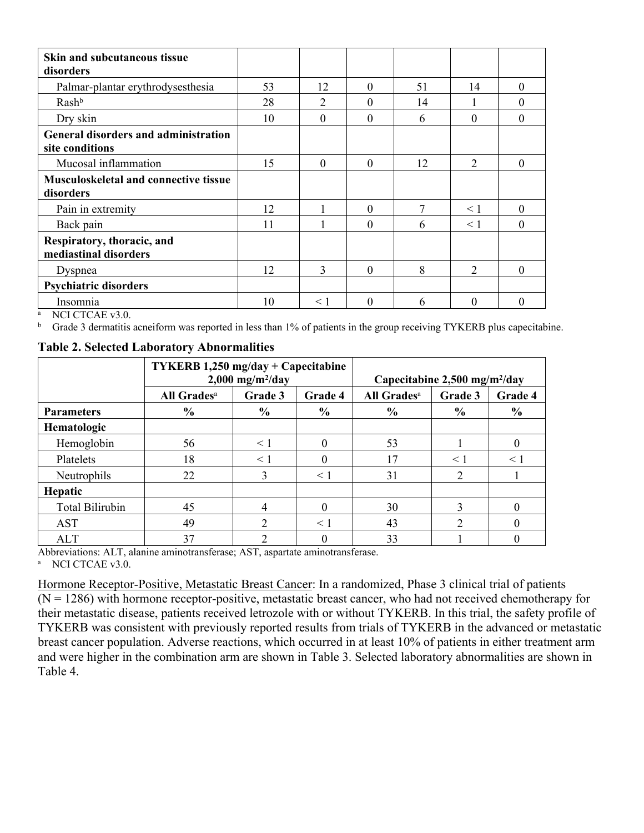| <b>Skin and subcutaneous tissue</b><br>disorders               |    |          |          |    |               |          |
|----------------------------------------------------------------|----|----------|----------|----|---------------|----------|
| Palmar-plantar erythrodysesthesia                              | 53 | 12       | $\Omega$ | 51 | 14            | 0        |
| Rash <sup>b</sup>                                              | 28 |          | $\theta$ | 14 |               | $\theta$ |
| Dry skin                                                       | 10 | $\Omega$ | $\theta$ | 6  | $\Omega$      | $\Omega$ |
| <b>General disorders and administration</b><br>site conditions |    |          |          |    |               |          |
| Mucosal inflammation                                           | 15 | $\Omega$ | $\Omega$ | 12 | 2             | 0        |
| <b>Musculoskeletal and connective tissue</b>                   |    |          |          |    |               |          |
| disorders                                                      |    |          |          |    |               |          |
| Pain in extremity                                              | 12 |          | $\Omega$ | 7  | $\leq$ 1      | 0        |
| Back pain                                                      | 11 |          | $\Omega$ | 6  | $\leq 1$      | $\Omega$ |
| Respiratory, thoracic, and<br>mediastinal disorders            |    |          |          |    |               |          |
| Dyspnea                                                        | 12 | 3        | $\Omega$ | 8  | $\mathcal{L}$ | 0        |
| <b>Psychiatric disorders</b>                                   |    |          |          |    |               |          |
| Insomnia                                                       | 10 | $\leq 1$ | $\Omega$ | 6  | $\Omega$      | 0        |

<sup>a</sup> NCI CTCAE v3.0.

<sup>b</sup> Grade 3 dermatitis acneiform was reported in less than 1% of patients in the group receiving TYKERB plus capecitabine.

**Table 2. Selected Laboratory Abnormalities**

|                        | <b>TYKERB 1,250 mg/day + Capecitabine</b><br>$2,000$ mg/m <sup>2</sup> /day |               |               | Capecitabine $2,500$ mg/m <sup>2</sup> /day |               |               |
|------------------------|-----------------------------------------------------------------------------|---------------|---------------|---------------------------------------------|---------------|---------------|
|                        | All Grades <sup>a</sup>                                                     | Grade 3       | Grade 4       | All Grades <sup>a</sup>                     | Grade 3       | Grade 4       |
| <b>Parameters</b>      | $\frac{6}{6}$                                                               | $\frac{6}{6}$ | $\frac{6}{6}$ | $\frac{6}{9}$                               | $\frac{6}{9}$ | $\frac{6}{6}$ |
| Hematologic            |                                                                             |               |               |                                             |               |               |
| Hemoglobin             | 56                                                                          | $\leq 1$      | $\Omega$      | 53                                          |               | $\theta$      |
| Platelets              | 18                                                                          | $\leq 1$      | $\Omega$      | 17                                          | $\leq$ 1      | < 1           |
| Neutrophils            | 22                                                                          | 3             | < 1           | 31                                          | 2             |               |
| Hepatic                |                                                                             |               |               |                                             |               |               |
| <b>Total Bilirubin</b> | 45                                                                          |               |               | 30                                          |               |               |
| <b>AST</b>             | 49                                                                          |               | $\leq 1$      | 43                                          | $\mathcal{D}$ | $\theta$      |
| <b>ALT</b>             | 37                                                                          |               |               | 33                                          |               |               |

Abbreviations: ALT, alanine aminotransferase; AST, aspartate aminotransferase. <sup>a</sup> NCI CTCAE v3.0.

Hormone Receptor-Positive, Metastatic Breast Cancer: In a randomized, Phase 3 clinical trial of patients  $(N = 1286)$  with hormone receptor-positive, metastatic breast cancer, who had not received chemotherapy for their metastatic disease, patients received letrozole with or without TYKERB. In this trial, the safety profile of TYKERB was consistent with previously reported results from trials of TYKERB in the advanced or metastatic breast cancer population. Adverse reactions, which occurred in at least 10% of patients in either treatment arm and were higher in the combination arm are shown in Table 3. Selected laboratory abnormalities are shown in Table 4.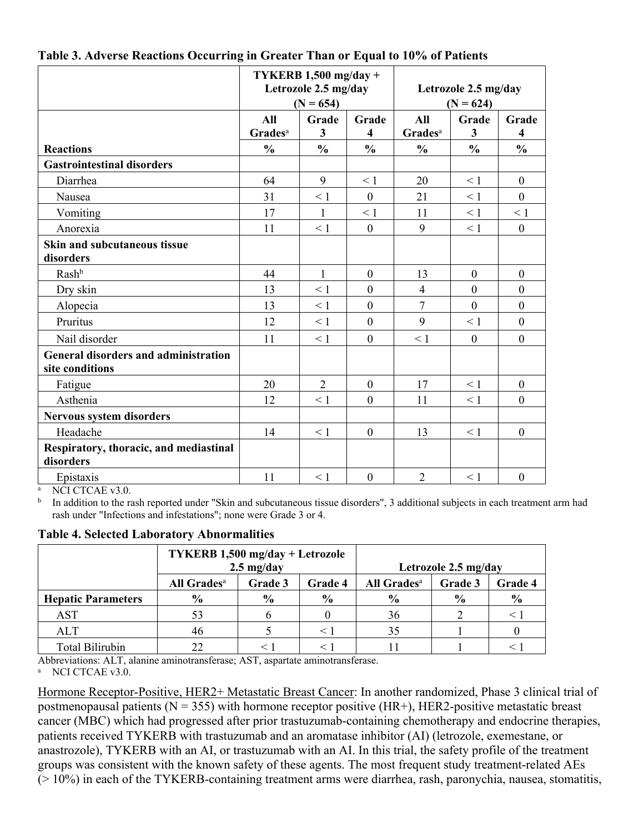|                                                                |                                   | TYKERB $1,500$ mg/day +<br>Letrozole 2.5 mg/day<br>$(N = 654)$ |                  | Letrozole 2.5 mg/day<br>$(N = 624)$ |               |                  |
|----------------------------------------------------------------|-----------------------------------|----------------------------------------------------------------|------------------|-------------------------------------|---------------|------------------|
|                                                                | All<br><b>Grades</b> <sup>a</sup> | Grade<br>3                                                     | Grade<br>4       | All<br>Grades <sup>a</sup>          | Grade<br>3    | Grade<br>4       |
| <b>Reactions</b>                                               | $\frac{0}{0}$                     | $\frac{0}{0}$                                                  | $\frac{0}{0}$    | $\frac{0}{0}$                       | $\frac{0}{0}$ | $\frac{0}{0}$    |
| <b>Gastrointestinal disorders</b>                              |                                   |                                                                |                  |                                     |               |                  |
| Diarrhea                                                       | 64                                | 9                                                              | $\leq 1$         | 20                                  | $\leq 1$      | $\boldsymbol{0}$ |
| Nausea                                                         | 31                                | $\leq 1$                                                       | $\Omega$         | 21                                  | $\leq 1$      | $\mathbf{0}$     |
| Vomiting                                                       | 17                                | 1                                                              | $\leq 1$         | 11                                  | $\leq 1$      | $\leq 1$         |
| Anorexia                                                       | 11                                | $\leq 1$                                                       | $\mathbf{0}$     | 9                                   | $\leq 1$      | $\boldsymbol{0}$ |
| <b>Skin and subcutaneous tissue</b><br>disorders               |                                   |                                                                |                  |                                     |               |                  |
| Rashb                                                          | 44                                | $\mathbf{1}$                                                   | $\mathbf{0}$     | 13                                  | $\theta$      | $\mathbf{0}$     |
| Dry skin                                                       | 13                                | $\leq 1$                                                       | $\mathbf{0}$     | $\overline{4}$                      | $\mathbf{0}$  | $\mathbf{0}$     |
| Alopecia                                                       | 13                                | < 1                                                            | $\mathbf{0}$     | $\overline{7}$                      | $\mathbf{0}$  | $\mathbf{0}$     |
| Pruritus                                                       | 12                                | $\leq 1$                                                       | $\mathbf{0}$     | 9                                   | $\leq 1$      | $\mathbf{0}$     |
| Nail disorder                                                  | 11                                | < 1                                                            | $\theta$         | < 1                                 | $\theta$      | $\theta$         |
| <b>General disorders and administration</b><br>site conditions |                                   |                                                                |                  |                                     |               |                  |
| Fatigue                                                        | 20                                | $\overline{2}$                                                 | $\mathbf{0}$     | 17                                  | $\leq 1$      | $\overline{0}$   |
| Asthenia                                                       | 12                                | $\leq 1$                                                       | $\boldsymbol{0}$ | 11                                  | $\leq 1$      | $\boldsymbol{0}$ |
| <b>Nervous system disorders</b>                                |                                   |                                                                |                  |                                     |               |                  |
| Headache                                                       | 14                                | $\leq 1$                                                       | $\mathbf{0}$     | 13                                  | $\leq 1$      | $\mathbf{0}$     |
| Respiratory, thoracic, and mediastinal<br>disorders            |                                   |                                                                |                  |                                     |               |                  |
| Epistaxis                                                      | 11                                | $\leq 1$                                                       | $\mathbf{0}$     | $\overline{2}$                      | $\leq 1$      | $\boldsymbol{0}$ |

#### **Table 3. Adverse Reactions Occurring in Greater Than or Equal to 10% of Patients**

<sup>a</sup> NCI CTCAE v3.0.

<sup>b</sup> In addition to the rash reported under "Skin and subcutaneous tissue disorders", 3 additional subjects in each treatment arm had rash under "Infections and infestations"; none were Grade 3 or 4.

**Table 4. Selected Laboratory Abnormalities**

|                           | TYKERB 1,500 mg/day + Letrozole<br>$2.5$ mg/day |                                               |               |               | Letrozole 2.5 mg/day |               |
|---------------------------|-------------------------------------------------|-----------------------------------------------|---------------|---------------|----------------------|---------------|
|                           | All Grades <sup>a</sup>                         | Grade 3<br>All Grades <sup>a</sup><br>Grade 4 |               |               | Grade 3              | Grade 4       |
| <b>Hepatic Parameters</b> | $\frac{6}{9}$                                   | $\frac{0}{0}$                                 | $\frac{0}{0}$ | $\frac{0}{0}$ | $\frac{6}{9}$        | $\frac{6}{9}$ |
| <b>AST</b>                |                                                 |                                               |               | 36            |                      |               |
| ALT                       | 46                                              |                                               |               | 35            |                      |               |
| <b>Total Bilirubin</b>    |                                                 |                                               |               |               |                      |               |

Abbreviations: ALT, alanine aminotransferase; AST, aspartate aminotransferase.

<sup>a</sup> NCI CTCAE v3.0.

Hormone Receptor-Positive, HER2+ Metastatic Breast Cancer: In another randomized, Phase 3 clinical trial of postmenopausal patients ( $N = 355$ ) with hormone receptor positive (HR+), HER2-positive metastatic breast cancer (MBC) which had progressed after prior trastuzumab-containing chemotherapy and endocrine therapies, patients received TYKERB with trastuzumab and an aromatase inhibitor (AI) (letrozole, exemestane, or anastrozole), TYKERB with an AI, or trastuzumab with an AI. In this trial, the safety profile of the treatment groups was consistent with the known safety of these agents. The most frequent study treatment-related AEs (> 10%) in each of the TYKERB-containing treatment arms were diarrhea, rash, paronychia, nausea, stomatitis,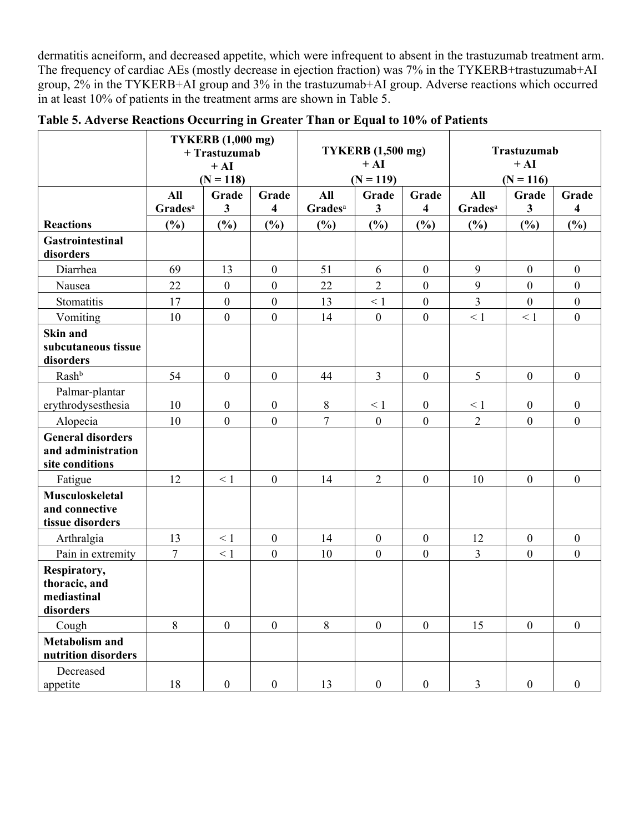dermatitis acneiform, and decreased appetite, which were infrequent to absent in the trastuzumab treatment arm. The frequency of cardiac AEs (mostly decrease in ejection fraction) was 7% in the TYKERB+trastuzumab+AI group, 2% in the TYKERB+AI group and 3% in the trastuzumab+AI group. Adverse reactions which occurred in at least 10% of patients in the treatment arms are shown in Table 5.

|                                                                   |                     | <b>TYKERB</b> (1,000 mg)<br>+ Trastuzumab<br>$+ AI$<br>$(N = 118)$ |                         |                     |                  | <b>TYKERB</b> (1,500 mg)<br>$+ AI$<br>$(N = 119)$ |                     |                  |                         | Trastuzumab<br>$+ AI$<br>$(N = 116)$ |  |
|-------------------------------------------------------------------|---------------------|--------------------------------------------------------------------|-------------------------|---------------------|------------------|---------------------------------------------------|---------------------|------------------|-------------------------|--------------------------------------|--|
|                                                                   | All                 | Grade                                                              | Grade                   | All                 | Grade            | Grade                                             | All                 | Grade            | Grade                   |                                      |  |
|                                                                   | Grades <sup>a</sup> | $\overline{\mathbf{3}}$                                            | $\overline{\mathbf{4}}$ | Grades <sup>a</sup> | $\mathbf{3}$     | $\overline{\mathbf{4}}$                           | Grades <sup>a</sup> | $\mathbf{3}$     | $\overline{\mathbf{4}}$ |                                      |  |
| <b>Reactions</b>                                                  | (%)                 | (%)                                                                | $(\%)$                  | $(\%)$              | (%)              | $(\%)$                                            | (%)                 | (%)              | $(\%)$                  |                                      |  |
| <b>Gastrointestinal</b><br>disorders                              |                     |                                                                    |                         |                     |                  |                                                   |                     |                  |                         |                                      |  |
| Diarrhea                                                          | 69                  | 13                                                                 | $\boldsymbol{0}$        | 51                  | 6                | $\boldsymbol{0}$                                  | 9                   | $\boldsymbol{0}$ | $\boldsymbol{0}$        |                                      |  |
| Nausea                                                            | 22                  | $\overline{0}$                                                     | $\boldsymbol{0}$        | 22                  | $\overline{2}$   | $\boldsymbol{0}$                                  | 9                   | $\mathbf{0}$     | $\boldsymbol{0}$        |                                      |  |
| Stomatitis                                                        | 17                  | $\boldsymbol{0}$                                                   | $\boldsymbol{0}$        | 13                  | $\leq 1$         | $\boldsymbol{0}$                                  | $\overline{3}$      | $\boldsymbol{0}$ | $\boldsymbol{0}$        |                                      |  |
| Vomiting                                                          | 10                  | $\overline{0}$                                                     | $\boldsymbol{0}$        | 14                  | $\mathbf{0}$     | $\boldsymbol{0}$                                  | $\leq 1$            | $\leq 1$         | $\boldsymbol{0}$        |                                      |  |
| Skin and<br>subcutaneous tissue<br>disorders                      |                     |                                                                    |                         |                     |                  |                                                   |                     |                  |                         |                                      |  |
| Rashb                                                             | 54                  | $\overline{0}$                                                     | $\boldsymbol{0}$        | 44                  | $\overline{3}$   | $\boldsymbol{0}$                                  | 5                   | $\boldsymbol{0}$ | $\boldsymbol{0}$        |                                      |  |
| Palmar-plantar<br>erythrodysesthesia                              | 10                  | $\boldsymbol{0}$                                                   | $\boldsymbol{0}$        | $\,8\,$             | $\leq 1$         | $\boldsymbol{0}$                                  | $\leq 1$            | $\boldsymbol{0}$ | $\boldsymbol{0}$        |                                      |  |
| Alopecia                                                          | 10                  | $\overline{0}$                                                     | $\boldsymbol{0}$        | $\overline{7}$      | $\boldsymbol{0}$ | $\boldsymbol{0}$                                  | $\overline{2}$      | $\boldsymbol{0}$ | $\boldsymbol{0}$        |                                      |  |
| <b>General disorders</b><br>and administration<br>site conditions |                     |                                                                    |                         |                     |                  |                                                   |                     |                  |                         |                                      |  |
| Fatigue                                                           | 12                  | $\leq 1$                                                           | $\mathbf{0}$            | 14                  | $\overline{2}$   | $\boldsymbol{0}$                                  | 10                  | $\mathbf{0}$     | $\boldsymbol{0}$        |                                      |  |
| <b>Musculoskeletal</b><br>and connective<br>tissue disorders      |                     |                                                                    |                         |                     |                  |                                                   |                     |                  |                         |                                      |  |
| Arthralgia                                                        | 13                  | $\leq 1$                                                           | $\mathbf{0}$            | 14                  | $\mathbf{0}$     | $\boldsymbol{0}$                                  | 12                  | $\boldsymbol{0}$ | $\boldsymbol{0}$        |                                      |  |
| Pain in extremity                                                 | $7\phantom{.0}$     | $\leq 1$                                                           | $\boldsymbol{0}$        | 10                  | $\boldsymbol{0}$ | $\boldsymbol{0}$                                  | $\overline{3}$      | $\boldsymbol{0}$ | $\boldsymbol{0}$        |                                      |  |
| Respiratory,<br>thoracic, and<br>mediastinal<br>disorders         |                     |                                                                    |                         |                     |                  |                                                   |                     |                  |                         |                                      |  |
| Cough                                                             | 8                   | $\overline{0}$                                                     | $\boldsymbol{0}$        | 8                   | $\boldsymbol{0}$ | $\boldsymbol{0}$                                  | 15                  | $\boldsymbol{0}$ | $\boldsymbol{0}$        |                                      |  |
| <b>Metabolism and</b><br>nutrition disorders                      |                     |                                                                    |                         |                     |                  |                                                   |                     |                  |                         |                                      |  |
| Decreased<br>appetite                                             | 18                  | $\boldsymbol{0}$                                                   | $\boldsymbol{0}$        | 13                  | $\boldsymbol{0}$ | $\boldsymbol{0}$                                  | $\overline{3}$      | $\boldsymbol{0}$ | $\boldsymbol{0}$        |                                      |  |

**Table 5. Adverse Reactions Occurring in Greater Than or Equal to 10% of Patients**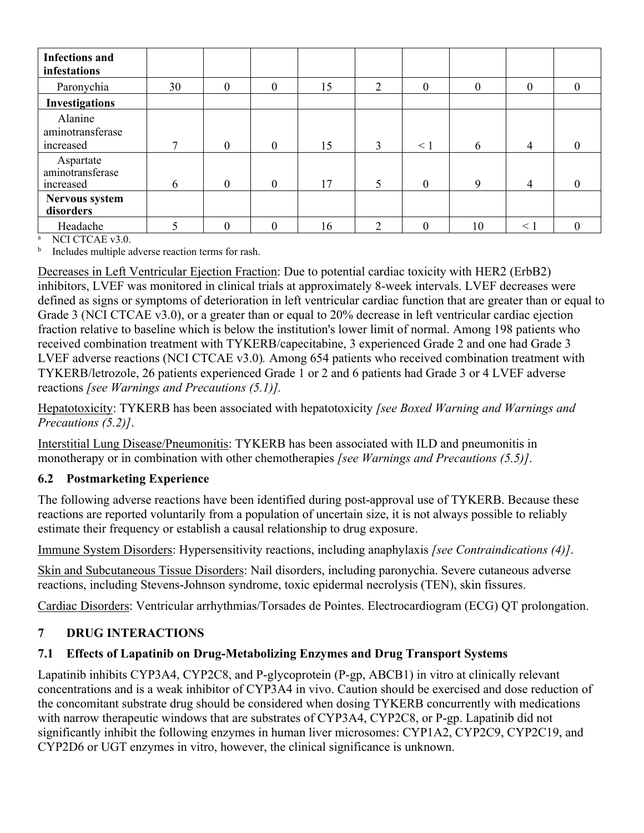| <b>Infections and</b><br>infestations      |    |                  |              |    |   |          |                |                |          |
|--------------------------------------------|----|------------------|--------------|----|---|----------|----------------|----------------|----------|
| Paronychia                                 | 30 | 0                | $\mathbf{0}$ | 15 | 2 | $\Omega$ | $\overline{0}$ | 0              | 0        |
| <b>Investigations</b>                      |    |                  |              |    |   |          |                |                |          |
| Alanine<br>aminotransferase<br>increased   | 7  | $\boldsymbol{0}$ | $\mathbf{0}$ | 15 | 3 | $\leq$ 1 | 6              | $\overline{4}$ | 0        |
| Aspartate<br>aminotransferase<br>increased | 6  | $\mathbf{0}$     | $\mathbf{0}$ | 17 |   | $\Omega$ | 9              | 4              | $\Omega$ |
| Nervous system<br>disorders                |    |                  |              |    |   |          |                |                |          |
| Headache                                   |    | 0                | $\theta$     | 16 | າ | $\theta$ | 10             | $\leq 1$       | 0        |

NCI CTCAE v3.0

b Includes multiple adverse reaction terms for rash.

Decreases in Left Ventricular Ejection Fraction: Due to potential cardiac toxicity with HER2 (ErbB2) inhibitors, LVEF was monitored in clinical trials at approximately 8-week intervals. LVEF decreases were defined as signs or symptoms of deterioration in left ventricular cardiac function that are greater than or equal to Grade 3 (NCI CTCAE v3.0), or a greater than or equal to 20% decrease in left ventricular cardiac ejection fraction relative to baseline which is below the institution's lower limit of normal. Among 198 patients who received combination treatment with TYKERB/capecitabine, 3 experienced Grade 2 and one had Grade 3 LVEF adverse reactions (NCI CTCAE v3.0)*.* Among 654 patients who received combination treatment with TYKERB/letrozole, 26 patients experienced Grade 1 or 2 and 6 patients had Grade 3 or 4 LVEF adverse reactions *[see Warnings and Precautions (5.1)].*

Hepatotoxicity: TYKERB has been associated with hepatotoxicity *[see Boxed Warning and Warnings and Precautions (5.2)]*.

Interstitial Lung Disease/Pneumonitis: TYKERB has been associated with ILD and pneumonitis in monotherapy or in combination with other chemotherapies *[see Warnings and Precautions (5.5)]*.

## <span id="page-9-1"></span>**6.2 Postmarketing Experience**

The following adverse reactions have been identified during post-approval use of TYKERB. Because these reactions are reported voluntarily from a population of uncertain size, it is not always possible to reliably estimate their frequency or establish a causal relationship to drug exposure.

Immune System Disorders: Hypersensitivity reactions, including anaphylaxis *[see Contraindications (4)]*.

Skin and Subcutaneous Tissue Disorders: Nail disorders, including paronychia. Severe cutaneous adverse reactions, including Stevens-Johnson syndrome, toxic epidermal necrolysis (TEN), skin fissures.

Cardiac Disorders: Ventricular arrhythmias/Torsades de Pointes. Electrocardiogram (ECG) QT prolongation.

## <span id="page-9-2"></span>**7 DRUG INTERACTIONS**

## <span id="page-9-0"></span>**7.1 Effects of Lapatinib on Drug-Metabolizing Enzymes and Drug Transport Systems**

Lapatinib inhibits CYP3A4, CYP2C8, and P-glycoprotein (P-gp, ABCB1) in vitro at clinically relevant concentrations and is a weak inhibitor of CYP3A4 in vivo. Caution should be exercised and dose reduction of the concomitant substrate drug should be considered when dosing TYKERB concurrently with medications with narrow therapeutic windows that are substrates of CYP3A4, CYP2C8, or P-gp. Lapatinib did not significantly inhibit the following enzymes in human liver microsomes: CYP1A2, CYP2C9, CYP2C19, and CYP2D6 or UGT enzymes in vitro, however, the clinical significance is unknown.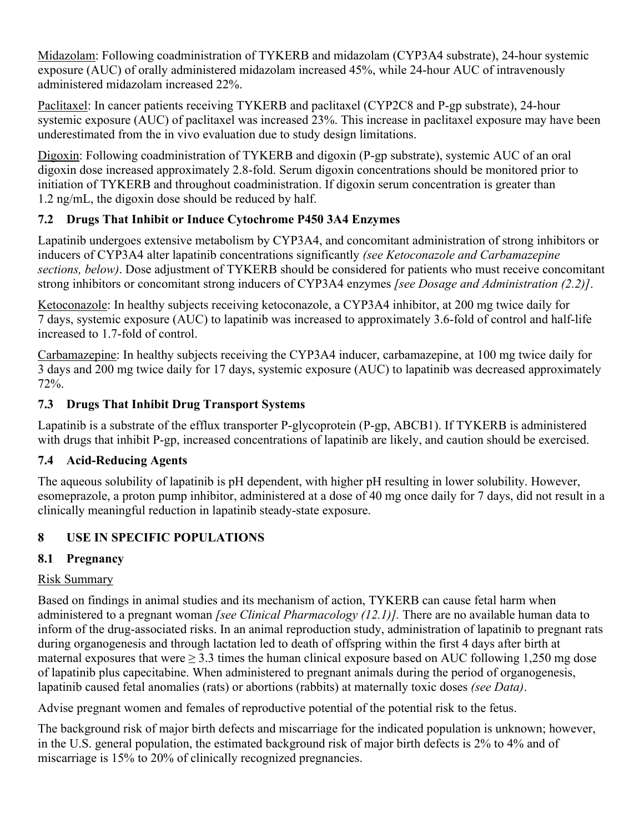Midazolam: Following coadministration of TYKERB and midazolam (CYP3A4 substrate), 24-hour systemic exposure (AUC) of orally administered midazolam increased 45%, while 24-hour AUC of intravenously administered midazolam increased 22%.

Paclitaxel: In cancer patients receiving TYKERB and paclitaxel (CYP2C8 and P-gp substrate), 24-hour systemic exposure (AUC) of paclitaxel was increased 23%. This increase in paclitaxel exposure may have been underestimated from the in vivo evaluation due to study design limitations.

Digoxin: Following coadministration of TYKERB and digoxin (P-gp substrate), systemic AUC of an oral digoxin dose increased approximately 2.8-fold. Serum digoxin concentrations should be monitored prior to initiation of TYKERB and throughout coadministration. If digoxin serum concentration is greater than 1.2 ng/mL, the digoxin dose should be reduced by half.

# <span id="page-10-1"></span>**7.2 Drugs That Inhibit or Induce Cytochrome P450 3A4 Enzymes**

Lapatinib undergoes extensive metabolism by CYP3A4, and concomitant administration of strong inhibitors or inducers of CYP3A4 alter lapatinib concentrations significantly *(see Ketoconazole and Carbamazepine sections, below)*. Dose adjustment of TYKERB should be considered for patients who must receive concomitant strong inhibitors or concomitant strong inducers of CYP3A4 enzymes *[see Dosage and Administration (2.2)]*.

Ketoconazole: In healthy subjects receiving ketoconazole, a CYP3A4 inhibitor, at 200 mg twice daily for 7 days, systemic exposure (AUC) to lapatinib was increased to approximately 3.6-fold of control and half-life increased to 1.7-fold of control.

Carbamazepine: In healthy subjects receiving the CYP3A4 inducer, carbamazepine, at 100 mg twice daily for 3 days and 200 mg twice daily for 17 days, systemic exposure (AUC) to lapatinib was decreased approximately 72%.

# <span id="page-10-2"></span>**7.3 Drugs That Inhibit Drug Transport Systems**

Lapatinib is a substrate of the efflux transporter P-glycoprotein (P-gp, ABCB1). If TYKERB is administered with drugs that inhibit P-gp, increased concentrations of lapatinib are likely, and caution should be exercised.

# <span id="page-10-3"></span>**7.4 Acid-Reducing Agents**

The aqueous solubility of lapatinib is pH dependent, with higher pH resulting in lower solubility. However, esomeprazole, a proton pump inhibitor, administered at a dose of 40 mg once daily for 7 days, did not result in a clinically meaningful reduction in lapatinib steady-state exposure.

# <span id="page-10-4"></span>**8 USE IN SPECIFIC POPULATIONS**

# <span id="page-10-0"></span>**8.1 Pregnancy**

# Risk Summary

Based on findings in animal studies and its mechanism of action, TYKERB can cause fetal harm when administered to a pregnant woman *[see Clinical Pharmacology (12.1)].* There are no available human data to inform of the drug-associated risks. In an animal reproduction study, administration of lapatinib to pregnant rats during organogenesis and through lactation led to death of offspring within the first 4 days after birth at maternal exposures that were  $\geq 3.3$  times the human clinical exposure based on AUC following 1,250 mg dose of lapatinib plus capecitabine. When administered to pregnant animals during the period of organogenesis, lapatinib caused fetal anomalies (rats) or abortions (rabbits) at maternally toxic doses *(see Data)*.

Advise pregnant women and females of reproductive potential of the potential risk to the fetus.

The background risk of major birth defects and miscarriage for the indicated population is unknown; however, in the U.S. general population, the estimated background risk of major birth defects is 2% to 4% and of miscarriage is 15% to 20% of clinically recognized pregnancies.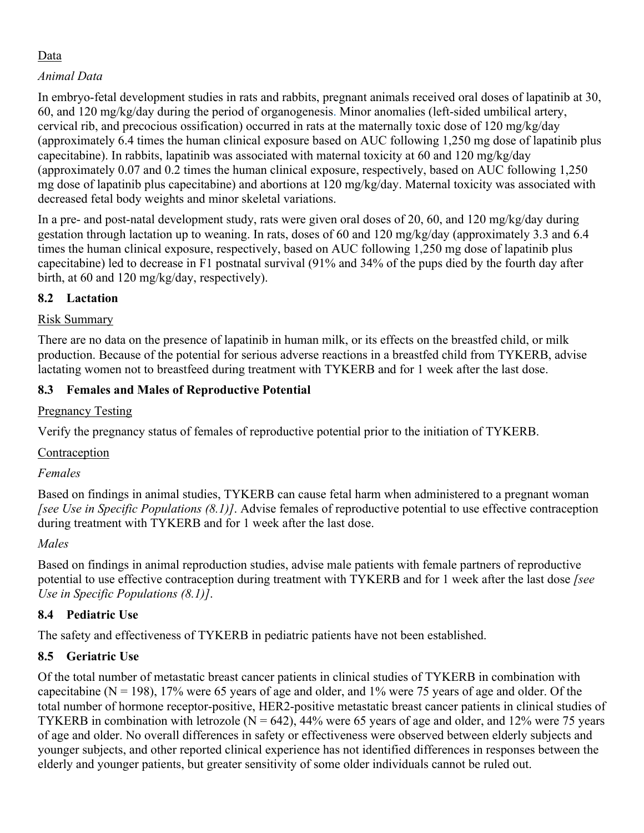## Data

## *Animal Data*

In embryo-fetal development studies in rats and rabbits, pregnant animals received oral doses of lapatinib at 30, 60, and 120 mg/kg/day during the period of organogenesis. Minor anomalies (left-sided umbilical artery, cervical rib, and precocious ossification) occurred in rats at the maternally toxic dose of 120 mg/kg/day (approximately 6.4 times the human clinical exposure based on AUC following 1,250 mg dose of lapatinib plus capecitabine). In rabbits, lapatinib was associated with maternal toxicity at 60 and 120 mg/kg/day (approximately 0.07 and 0.2 times the human clinical exposure, respectively, based on AUC following 1,250 mg dose of lapatinib plus capecitabine) and abortions at 120 mg/kg/day. Maternal toxicity was associated with decreased fetal body weights and minor skeletal variations.

In a pre- and post-natal development study, rats were given oral doses of 20, 60, and 120 mg/kg/day during gestation through lactation up to weaning. In rats, doses of 60 and 120 mg/kg/day (approximately 3.3 and 6.4 times the human clinical exposure, respectively, based on AUC following 1,250 mg dose of lapatinib plus capecitabine) led to decrease in F1 postnatal survival (91% and 34% of the pups died by the fourth day after birth, at 60 and 120 mg/kg/day, respectively).

## <span id="page-11-1"></span>**8.2 Lactation**

## Risk Summary

There are no data on the presence of lapatinib in human milk, or its effects on the breastfed child, or milk production. Because of the potential for serious adverse reactions in a breastfed child from TYKERB, advise lactating women not to breastfeed during treatment with TYKERB and for 1 week after the last dose.

## <span id="page-11-0"></span>**8.3 Females and Males of Reproductive Potential**

# Pregnancy Testing

Verify the pregnancy status of females of reproductive potential prior to the initiation of TYKERB.

## **Contraception**

## *Females*

Based on findings in animal studies, TYKERB can cause fetal harm when administered to a pregnant woman *[see Use in Specific Populations (8.1)]*. Advise females of reproductive potential to use effective contraception during treatment with TYKERB and for 1 week after the last dose.

# *Males*

Based on findings in animal reproduction studies, advise male patients with female partners of reproductive potential to use effective contraception during treatment with TYKERB and for 1 week after the last dose *[see Use in Specific Populations (8.1)]*.

# <span id="page-11-2"></span>**8.4 Pediatric Use**

The safety and effectiveness of TYKERB in pediatric patients have not been established.

# <span id="page-11-3"></span>**8.5 Geriatric Use**

Of the total number of metastatic breast cancer patients in clinical studies of TYKERB in combination with capecitabine ( $N = 198$ ), 17% were 65 years of age and older, and 1% were 75 years of age and older. Of the total number of hormone receptor-positive, HER2-positive metastatic breast cancer patients in clinical studies of TYKERB in combination with letrozole ( $N = 642$ ), 44% were 65 years of age and older, and 12% were 75 years of age and older. No overall differences in safety or effectiveness were observed between elderly subjects and younger subjects, and other reported clinical experience has not identified differences in responses between the elderly and younger patients, but greater sensitivity of some older individuals cannot be ruled out.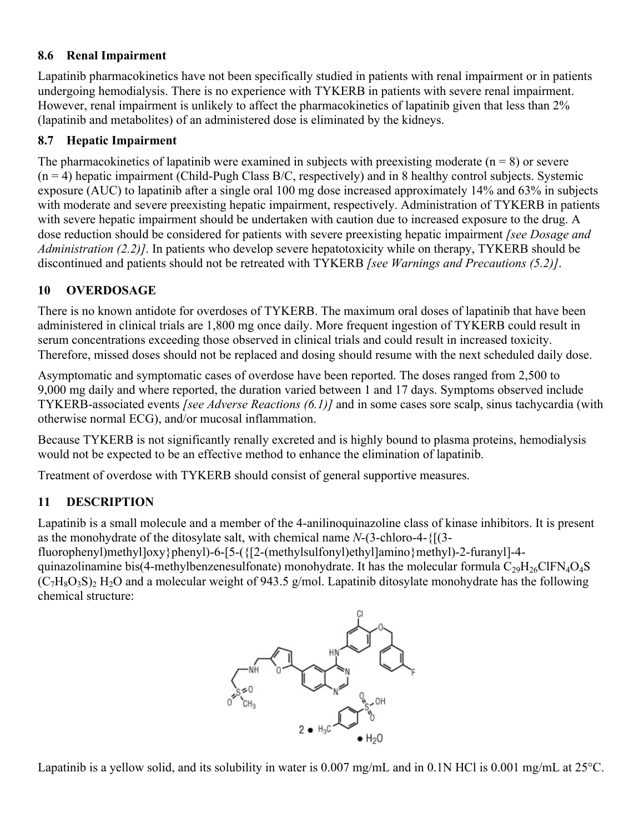## <span id="page-12-1"></span>**8.6 Renal Impairment**

Lapatinib pharmacokinetics have not been specifically studied in patients with renal impairment or in patients undergoing hemodialysis. There is no experience with TYKERB in patients with severe renal impairment. However, renal impairment is unlikely to affect the pharmacokinetics of lapatinib given that less than 2% (lapatinib and metabolites) of an administered dose is eliminated by the kidneys.

## <span id="page-12-0"></span>**8.7 Hepatic Impairment**

The pharmacokinetics of lapatinib were examined in subjects with preexisting moderate  $(n = 8)$  or severe  $(n = 4)$  hepatic impairment (Child-Pugh Class B/C, respectively) and in 8 healthy control subjects. Systemic exposure (AUC) to lapatinib after a single oral 100 mg dose increased approximately 14% and 63% in subjects with moderate and severe preexisting hepatic impairment, respectively. Administration of TYKERB in patients with severe hepatic impairment should be undertaken with caution due to increased exposure to the drug. A dose reduction should be considered for patients with severe preexisting hepatic impairment *[see Dosage and Administration (2.2)]*. In patients who develop severe hepatotoxicity while on therapy, TYKERB should be discontinued and patients should not be retreated with TYKERB *[see Warnings and Precautions (5.2)]*.

# <span id="page-12-2"></span>**10 OVERDOSAGE**

There is no known antidote for overdoses of TYKERB. The maximum oral doses of lapatinib that have been administered in clinical trials are 1,800 mg once daily. More frequent ingestion of TYKERB could result in serum concentrations exceeding those observed in clinical trials and could result in increased toxicity. Therefore, missed doses should not be replaced and dosing should resume with the next scheduled daily dose.

Asymptomatic and symptomatic cases of overdose have been reported. The doses ranged from 2,500 to 9,000 mg daily and where reported, the duration varied between 1 and 17 days. Symptoms observed include TYKERB-associated events *[see Adverse Reactions (6.1)]* and in some cases sore scalp, sinus tachycardia (with otherwise normal ECG), and/or mucosal inflammation.

Because TYKERB is not significantly renally excreted and is highly bound to plasma proteins, hemodialysis would not be expected to be an effective method to enhance the elimination of lapatinib.

Treatment of overdose with TYKERB should consist of general supportive measures.

# <span id="page-12-3"></span>**11 DESCRIPTION**

chemical structure:

Lapatinib is a small molecule and a member of the 4-anilinoquinazoline class of kinase inhibitors. It is present as the monohydrate of the ditosylate salt, with chemical name *N*-(3-chloro-4-{[(3-

fluorophenyl)methyl $\vert \frac{\partial xy}{\partial x}$ phenyl)-6-[5-( $\frac{5-(12-(\text{methylsulfonyl})\text{ethyl}]}{\text{cmyl}}$ amino}methyl)-2-furanyl]-4quinazolinamine bis(4-methylbenzenesulfonate) monohydrate. It has the molecular formula  $C_{29}H_{26}CIFN_4O_4S$  $(C_7H_8O_3S)_2$  H<sub>2</sub>O and a molecular weight of 943.5 g/mol. Lapatinib ditosylate monohydrate has the following



Lapatinib is a yellow solid, and its solubility in water is  $0.007$  mg/mL and in  $0.1N$  HCl is  $0.001$  mg/mL at  $25^{\circ}$ C.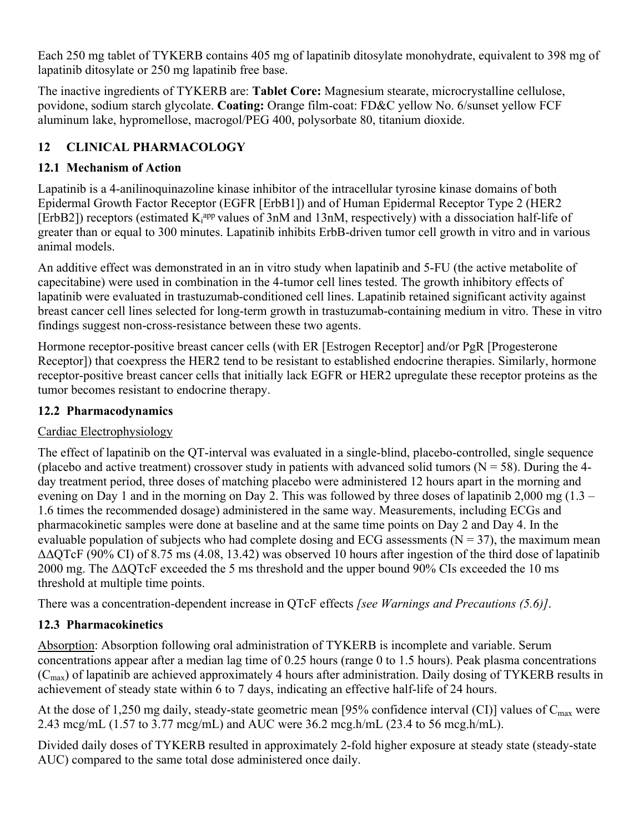Each 250 mg tablet of TYKERB contains 405 mg of lapatinib ditosylate monohydrate, equivalent to 398 mg of lapatinib ditosylate or 250 mg lapatinib free base.

The inactive ingredients of TYKERB are: **Tablet Core:** Magnesium stearate, microcrystalline cellulose, povidone, sodium starch glycolate. **Coating:** Orange film-coat: FD&C yellow No. 6/sunset yellow FCF aluminum lake, hypromellose, macrogol/PEG 400, polysorbate 80, titanium dioxide.

# <span id="page-13-2"></span>**12 CLINICAL PHARMACOLOGY**

# <span id="page-13-3"></span>**12.1 Mechanism of Action**

Lapatinib is a 4-anilinoquinazoline kinase inhibitor of the intracellular tyrosine kinase domains of both Epidermal Growth Factor Receptor (EGFR [ErbB1]) and of Human Epidermal Receptor Type 2 (HER2 [ErbB2]) receptors (estimated K<sub>i</sub><sup>app</sup> values of 3nM and 13nM, respectively) with a dissociation half-life of greater than or equal to 300 minutes. Lapatinib inhibits ErbB-driven tumor cell growth in vitro and in various animal models.

An additive effect was demonstrated in an in vitro study when lapatinib and 5-FU (the active metabolite of capecitabine) were used in combination in the 4-tumor cell lines tested. The growth inhibitory effects of lapatinib were evaluated in trastuzumab-conditioned cell lines. Lapatinib retained significant activity against breast cancer cell lines selected for long-term growth in trastuzumab-containing medium in vitro. These in vitro findings suggest non-cross-resistance between these two agents.

Hormone receptor-positive breast cancer cells (with ER [Estrogen Receptor] and/or PgR [Progesterone Receptor]) that coexpress the HER2 tend to be resistant to established endocrine therapies. Similarly, hormone receptor-positive breast cancer cells that initially lack EGFR or HER2 upregulate these receptor proteins as the tumor becomes resistant to endocrine therapy.

# <span id="page-13-1"></span>**12.2 Pharmacodynamics**

# Cardiac Electrophysiology

The effect of lapatinib on the QT-interval was evaluated in a single-blind, placebo-controlled, single sequence (placebo and active treatment) crossover study in patients with advanced solid tumors ( $N = 58$ ). During the 4day treatment period, three doses of matching placebo were administered 12 hours apart in the morning and evening on Day 1 and in the morning on Day 2. This was followed by three doses of lapatinib 2,000 mg (1.3 – 1.6 times the recommended dosage) administered in the same way. Measurements, including ECGs and pharmacokinetic samples were done at baseline and at the same time points on Day 2 and Day 4. In the evaluable population of subjects who had complete dosing and ECG assessments ( $N = 37$ ), the maximum mean ΔΔQTcF (90% CI) of 8.75 ms (4.08, 13.42) was observed 10 hours after ingestion of the third dose of lapatinib 2000 mg. The  $\triangle$  $\triangle$ QTcF exceeded the 5 ms threshold and the upper bound 90% CIs exceeded the 10 ms threshold at multiple time points.

There was a concentration-dependent increase in QTcF effects *[see Warnings and Precautions (5.6)]*.

# <span id="page-13-0"></span>**12.3 Pharmacokinetics**

Absorption: Absorption following oral administration of TYKERB is incomplete and variable. Serum concentrations appear after a median lag time of 0.25 hours (range 0 to 1.5 hours). Peak plasma concentrations  $(C<sub>max</sub>)$  of lapatinib are achieved approximately 4 hours after administration. Daily dosing of TYKERB results in achievement of steady state within 6 to 7 days, indicating an effective half-life of 24 hours.

At the dose of 1,250 mg daily, steady-state geometric mean [95% confidence interval (CI)] values of  $C_{\text{max}}$  were 2.43 mcg/mL (1.57 to 3.77 mcg/mL) and AUC were 36.2 mcg.h/mL (23.4 to 56 mcg.h/mL).

Divided daily doses of TYKERB resulted in approximately 2-fold higher exposure at steady state (steady-state AUC) compared to the same total dose administered once daily.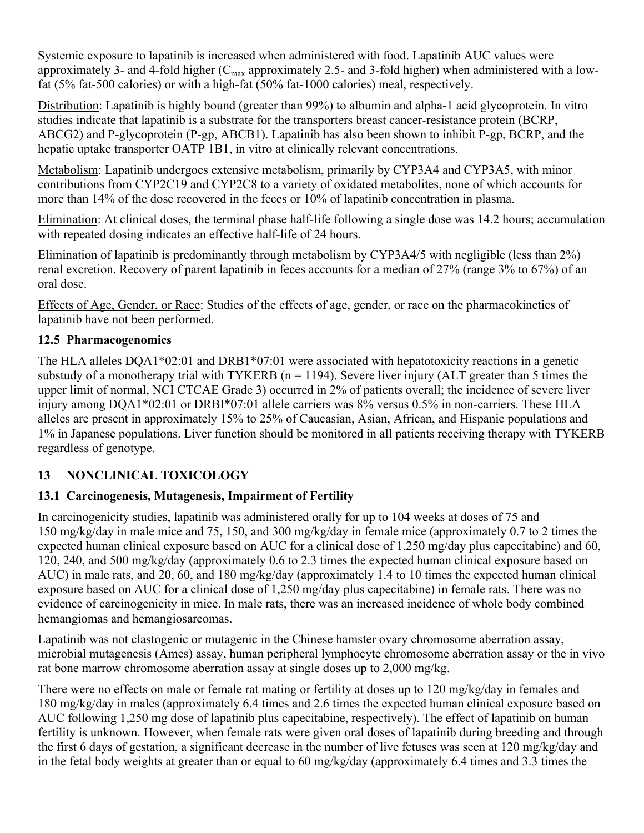Systemic exposure to lapatinib is increased when administered with food. Lapatinib AUC values were approximately 3- and 4-fold higher  $(C_{\text{max}}$  approximately 2.5- and 3-fold higher) when administered with a lowfat (5% fat-500 calories) or with a high-fat (50% fat-1000 calories) meal, respectively.

Distribution: Lapatinib is highly bound (greater than 99%) to albumin and alpha-1 acid glycoprotein. In vitro studies indicate that lapatinib is a substrate for the transporters breast cancer-resistance protein (BCRP, ABCG2) and P-glycoprotein (P-gp, ABCB1). Lapatinib has also been shown to inhibit P-gp, BCRP, and the hepatic uptake transporter OATP 1B1, in vitro at clinically relevant concentrations.

Metabolism: Lapatinib undergoes extensive metabolism, primarily by CYP3A4 and CYP3A5, with minor contributions from CYP2C19 and CYP2C8 to a variety of oxidated metabolites, none of which accounts for more than 14% of the dose recovered in the feces or 10% of lapatinib concentration in plasma.

Elimination: At clinical doses, the terminal phase half-life following a single dose was 14.2 hours; accumulation with repeated dosing indicates an effective half-life of 24 hours.

Elimination of lapatinib is predominantly through metabolism by CYP3A4/5 with negligible (less than 2%) renal excretion. Recovery of parent lapatinib in feces accounts for a median of 27% (range 3% to 67%) of an oral dose.

Effects of Age, Gender, or Race: Studies of the effects of age, gender, or race on the pharmacokinetics of lapatinib have not been performed.

## <span id="page-14-0"></span>**12.5 Pharmacogenomics**

The HLA alleles DQA1\*02:01 and DRB1\*07:01 were associated with hepatotoxicity reactions in a genetic substudy of a monotherapy trial with TYKERB ( $n = 1194$ ). Severe liver injury (ALT greater than 5 times the upper limit of normal, NCI CTCAE Grade 3) occurred in 2% of patients overall; the incidence of severe liver injury among DQA1\*02:01 or DRBI\*07:01 allele carriers was 8% versus 0.5% in non-carriers. These HLA alleles are present in approximately 15% to 25% of Caucasian, Asian, African, and Hispanic populations and 1% in Japanese populations. Liver function should be monitored in all patients receiving therapy with TYKERB regardless of genotype.

# <span id="page-14-1"></span>**13 NONCLINICAL TOXICOLOGY**

# <span id="page-14-2"></span>**13.1 Carcinogenesis, Mutagenesis, Impairment of Fertility**

In carcinogenicity studies, lapatinib was administered orally for up to 104 weeks at doses of 75 and 150 mg/kg/day in male mice and 75, 150, and 300 mg/kg/day in female mice (approximately 0.7 to 2 times the expected human clinical exposure based on AUC for a clinical dose of 1,250 mg/day plus capecitabine) and 60, 120, 240, and 500 mg/kg/day (approximately 0.6 to 2.3 times the expected human clinical exposure based on AUC) in male rats, and 20, 60, and 180 mg/kg/day (approximately 1.4 to 10 times the expected human clinical exposure based on AUC for a clinical dose of 1,250 mg/day plus capecitabine) in female rats. There was no evidence of carcinogenicity in mice. In male rats, there was an increased incidence of whole body combined hemangiomas and hemangiosarcomas.

Lapatinib was not clastogenic or mutagenic in the Chinese hamster ovary chromosome aberration assay, microbial mutagenesis (Ames) assay, human peripheral lymphocyte chromosome aberration assay or the in vivo rat bone marrow chromosome aberration assay at single doses up to 2,000 mg/kg.

There were no effects on male or female rat mating or fertility at doses up to 120 mg/kg/day in females and 180 mg/kg/day in males (approximately 6.4 times and 2.6 times the expected human clinical exposure based on AUC following 1,250 mg dose of lapatinib plus capecitabine, respectively). The effect of lapatinib on human fertility is unknown. However, when female rats were given oral doses of lapatinib during breeding and through the first 6 days of gestation, a significant decrease in the number of live fetuses was seen at 120 mg/kg/day and in the fetal body weights at greater than or equal to 60 mg/kg/day (approximately 6.4 times and 3.3 times the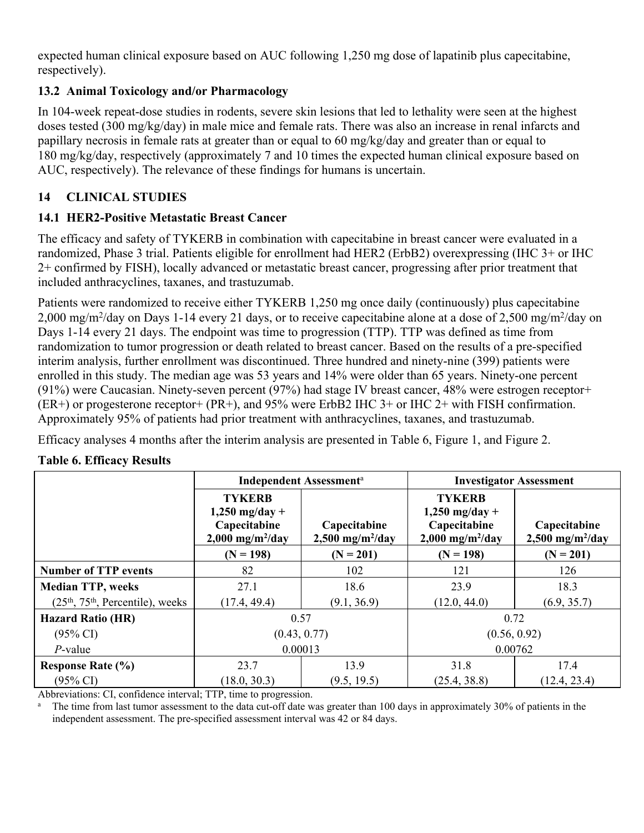expected human clinical exposure based on AUC following 1,250 mg dose of lapatinib plus capecitabine, respectively).

# <span id="page-15-0"></span>**13.2 Animal Toxicology and/or Pharmacology**

In 104-week repeat-dose studies in rodents, severe skin lesions that led to lethality were seen at the highest doses tested (300 mg/kg/day) in male mice and female rats. There was also an increase in renal infarcts and papillary necrosis in female rats at greater than or equal to 60 mg/kg/day and greater than or equal to 180 mg/kg/day, respectively (approximately 7 and 10 times the expected human clinical exposure based on AUC, respectively). The relevance of these findings for humans is uncertain.

# <span id="page-15-1"></span>**14 CLINICAL STUDIES**

# <span id="page-15-2"></span>**14.1 HER2-Positive Metastatic Breast Cancer**

The efficacy and safety of TYKERB in combination with capecitabine in breast cancer were evaluated in a randomized, Phase 3 trial. Patients eligible for enrollment had HER2 (ErbB2) overexpressing (IHC 3+ or IHC 2+ confirmed by FISH), locally advanced or metastatic breast cancer, progressing after prior treatment that included anthracyclines, taxanes, and trastuzumab.

Patients were randomized to receive either TYKERB 1,250 mg once daily (continuously) plus capecitabine 2,000 mg/m<sup>2</sup>/day on Days 1-14 every 21 days, or to receive capecitabine alone at a dose of 2,500 mg/m<sup>2</sup>/day on Days 1-14 every 21 days. The endpoint was time to progression (TTP). TTP was defined as time from randomization to tumor progression or death related to breast cancer. Based on the results of a pre-specified interim analysis, further enrollment was discontinued. Three hundred and ninety-nine (399) patients were enrolled in this study. The median age was 53 years and 14% were older than 65 years. Ninety-one percent (91%) were Caucasian. Ninety-seven percent (97%) had stage IV breast cancer, 48% were estrogen receptor+ (ER+) or progesterone receptor+ (PR+), and 95% were ErbB2 IHC 3+ or IHC 2+ with FISH confirmation. Approximately 95% of patients had prior treatment with anthracyclines, taxanes, and trastuzumab.

Efficacy analyses 4 months after the interim analysis are presented in Table 6, Figure 1, and Figure 2.

|                                   |                                                                                     | <b>Independent Assessment</b> <sup>a</sup>     | <b>Investigator Assessment</b>                                                      |                                                |  |  |
|-----------------------------------|-------------------------------------------------------------------------------------|------------------------------------------------|-------------------------------------------------------------------------------------|------------------------------------------------|--|--|
|                                   | <b>TYKERB</b><br>$1,250$ mg/day +<br>Capecitabine<br>$2,000$ mg/m <sup>2</sup> /day | Capecitabine<br>$2,500$ mg/m <sup>2</sup> /day | <b>TYKERB</b><br>$1,250$ mg/day +<br>Capecitabine<br>$2,000$ mg/m <sup>2</sup> /day | Capecitabine<br>$2,500$ mg/m <sup>2</sup> /day |  |  |
|                                   | $(N = 198)$                                                                         | $(N = 201)$                                    | $(N = 198)$                                                                         | $(N = 201)$                                    |  |  |
| <b>Number of TTP events</b>       | 82                                                                                  | 102                                            | 121                                                                                 | 126                                            |  |  |
| <b>Median TTP, weeks</b>          | 27.1                                                                                | 18.6                                           | 23.9                                                                                | 18.3                                           |  |  |
| $(25th, 75th,$ Percentile), weeks | (17.4, 49.4)                                                                        | (9.1, 36.9)                                    | (12.0, 44.0)                                                                        | (6.9, 35.7)                                    |  |  |
| <b>Hazard Ratio (HR)</b>          | 0.57                                                                                |                                                | 0.72                                                                                |                                                |  |  |
| $(95\% \text{ CI})$               |                                                                                     | (0.43, 0.77)                                   | (0.56, 0.92)                                                                        |                                                |  |  |
| $P$ -value                        | 0.00013                                                                             |                                                | 0.00762                                                                             |                                                |  |  |
| <b>Response Rate (%)</b>          | 23.7                                                                                | 13.9                                           | 31.8                                                                                | 17.4                                           |  |  |
| $(95\% \text{ CI})$               | (18.0, 30.3)                                                                        | (9.5, 19.5)                                    | (25.4, 38.8)                                                                        | (12.4, 23.4)                                   |  |  |

## **Table 6. Efficacy Results**

Abbreviations: CI, confidence interval; TTP, time to progression.

The time from last tumor assessment to the data cut-off date was greater than 100 days in approximately 30% of patients in the independent assessment. The pre-specified assessment interval was 42 or 84 days.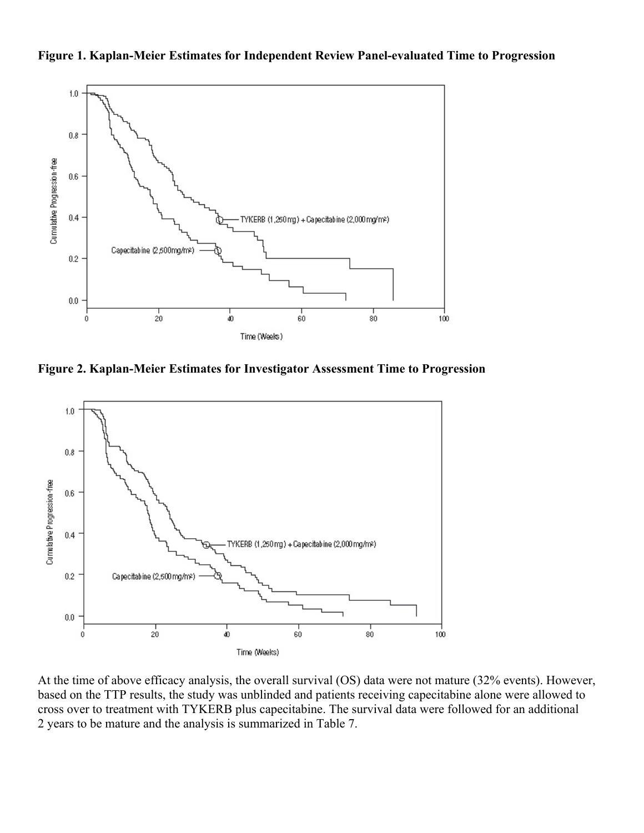



**Figure 2. Kaplan-Meier Estimates for Investigator Assessment Time to Progression**



At the time of above efficacy analysis, the overall survival (OS) data were not mature (32% events). However, based on the TTP results, the study was unblinded and patients receiving capecitabine alone were allowed to cross over to treatment with TYKERB plus capecitabine. The survival data were followed for an additional 2 years to be mature and the analysis is summarized in Table 7.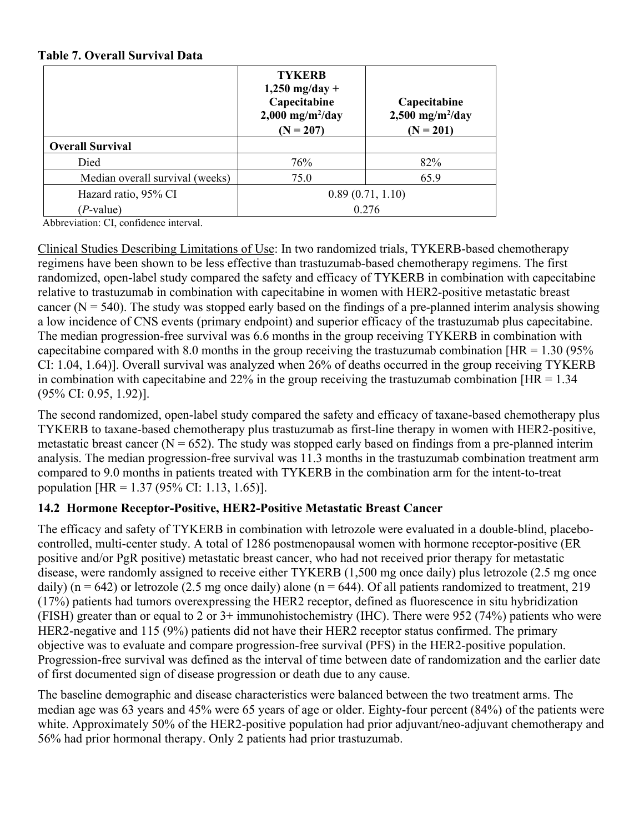#### **Table 7. Overall Survival Data**

|                                 | <b>TYKERB</b><br>$1,250$ mg/day +<br>Capecitabine<br>$2,000$ mg/m <sup>2</sup> /day<br>$(N = 207)$ | Capecitabine<br>$2,500$ mg/m <sup>2</sup> /day<br>$(N = 201)$ |  |  |  |
|---------------------------------|----------------------------------------------------------------------------------------------------|---------------------------------------------------------------|--|--|--|
| <b>Overall Survival</b>         |                                                                                                    |                                                               |  |  |  |
| Died                            | 76%                                                                                                | 82%                                                           |  |  |  |
| Median overall survival (weeks) | 75.0                                                                                               | 65.9                                                          |  |  |  |
| Hazard ratio, 95% CI            | 0.89(0.71, 1.10)                                                                                   |                                                               |  |  |  |
| $(P$ -value)                    | 0.276                                                                                              |                                                               |  |  |  |

Abbreviation: CI, confidence interval.

Clinical Studies Describing Limitations of Use: In two randomized trials, TYKERB-based chemotherapy regimens have been shown to be less effective than trastuzumab-based chemotherapy regimens. The first randomized, open-label study compared the safety and efficacy of TYKERB in combination with capecitabine relative to trastuzumab in combination with capecitabine in women with HER2-positive metastatic breast cancer ( $N = 540$ ). The study was stopped early based on the findings of a pre-planned interim analysis showing a low incidence of CNS events (primary endpoint) and superior efficacy of the trastuzumab plus capecitabine. The median progression-free survival was 6.6 months in the group receiving TYKERB in combination with capecitabine compared with 8.0 months in the group receiving the trastuzumab combination  $[HR = 1.30 (95\%)]$ CI: 1.04, 1.64)]. Overall survival was analyzed when 26% of deaths occurred in the group receiving TYKERB in combination with capecitabine and 22% in the group receiving the trastuzumab combination  $[HR = 1.34]$ (95% CI: 0.95, 1.92)].

The second randomized, open-label study compared the safety and efficacy of taxane-based chemotherapy plus TYKERB to taxane-based chemotherapy plus trastuzumab as first-line therapy in women with HER2-positive, metastatic breast cancer ( $N = 652$ ). The study was stopped early based on findings from a pre-planned interim analysis. The median progression-free survival was 11.3 months in the trastuzumab combination treatment arm compared to 9.0 months in patients treated with TYKERB in the combination arm for the intent-to-treat population [HR = 1.37 (95% CI: 1.13, 1.65)].

## <span id="page-17-0"></span>**14.2 Hormone Receptor-Positive, HER2-Positive Metastatic Breast Cancer**

The efficacy and safety of TYKERB in combination with letrozole were evaluated in a double-blind, placebocontrolled, multi-center study. A total of 1286 postmenopausal women with hormone receptor-positive (ER positive and/or PgR positive) metastatic breast cancer, who had not received prior therapy for metastatic disease, were randomly assigned to receive either TYKERB (1,500 mg once daily) plus letrozole (2.5 mg once daily) ( $n = 642$ ) or letrozole (2.5 mg once daily) alone ( $n = 644$ ). Of all patients randomized to treatment, 219 (17%) patients had tumors overexpressing the HER2 receptor, defined as fluorescence in situ hybridization (FISH) greater than or equal to 2 or 3+ immunohistochemistry (IHC). There were 952 (74%) patients who were HER2-negative and 115 (9%) patients did not have their HER2 receptor status confirmed. The primary objective was to evaluate and compare progression-free survival (PFS) in the HER2-positive population. Progression-free survival was defined as the interval of time between date of randomization and the earlier date of first documented sign of disease progression or death due to any cause.

The baseline demographic and disease characteristics were balanced between the two treatment arms. The median age was 63 years and 45% were 65 years of age or older. Eighty-four percent (84%) of the patients were white. Approximately 50% of the HER2-positive population had prior adjuvant/neo-adjuvant chemotherapy and 56% had prior hormonal therapy. Only 2 patients had prior trastuzumab.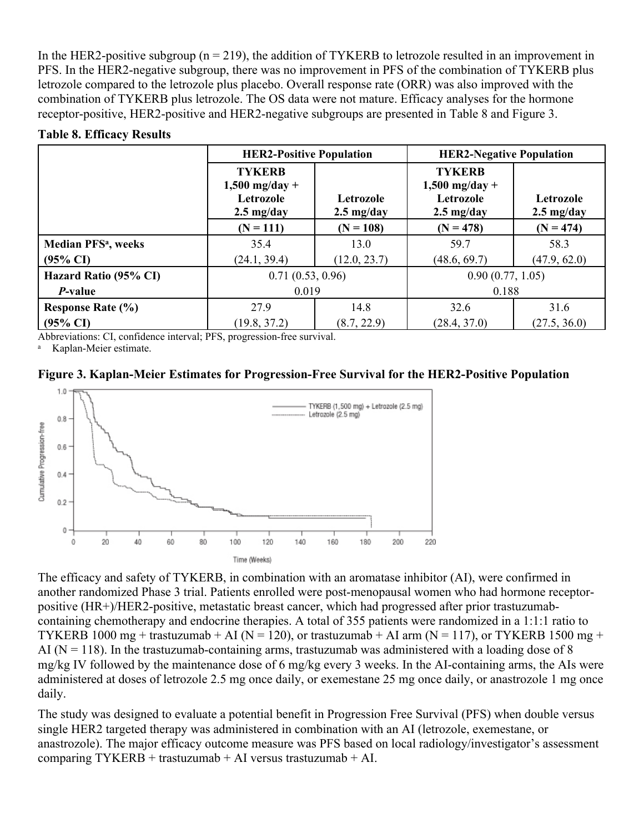In the HER2-positive subgroup ( $n = 219$ ), the addition of TYKERB to letrozole resulted in an improvement in PFS. In the HER2-negative subgroup, there was no improvement in PFS of the combination of TYKERB plus letrozole compared to the letrozole plus placebo. Overall response rate (ORR) was also improved with the combination of TYKERB plus letrozole. The OS data were not mature. Efficacy analyses for the hormone receptor-positive, HER2-positive and HER2-negative subgroups are presented in Table 8 and Figure 3.

#### **Table 8. Efficacy Results**

|                                       | <b>HER2-Positive Population</b>                                        |                                   | <b>HER2-Negative Population</b>                                        |                                   |  |
|---------------------------------------|------------------------------------------------------------------------|-----------------------------------|------------------------------------------------------------------------|-----------------------------------|--|
|                                       | <b>TYKERB</b><br>$1,500$ mg/day +<br>Letrozole<br>$2.5 \text{ mg/day}$ | Letrozole<br>$2.5 \text{ mg/day}$ | <b>TYKERB</b><br>$1,500$ mg/day +<br>Letrozole<br>$2.5 \text{ mg/day}$ | Letrozole<br>$2.5 \text{ mg/day}$ |  |
|                                       | $(N = 111)$                                                            | $(N = 108)$                       | $(N = 478)$                                                            | $(N = 474)$                       |  |
| <b>Median PFS<sup>a</sup></b> , weeks | 35.4                                                                   | 13.0                              | 59.7                                                                   | 58.3                              |  |
| $(95\% \text{ CI})$                   | (24.1, 39.4)                                                           | (12.0, 23.7)                      | (48.6, 69.7)                                                           | (47.9, 62.0)                      |  |
| Hazard Ratio (95% CI)                 | 0.71(0.53, 0.96)                                                       |                                   | 0.90(0.77, 1.05)                                                       |                                   |  |
| <i>P</i> -value                       | 0.019                                                                  |                                   | 0.188                                                                  |                                   |  |
| <b>Response Rate (%)</b>              | 27.9                                                                   | 14.8                              | 32.6                                                                   | 31.6                              |  |
| $(95\% \text{ CI})$                   | (19.8, 37.2)                                                           | (8.7, 22.9)                       | (28.4, 37.0)                                                           | (27.5, 36.0)                      |  |

Abbreviations: CI, confidence interval; PFS, progression-free survival.

<sup>a</sup> Kaplan-Meier estimate.

**Figure 3. Kaplan-Meier Estimates for Progression-Free Survival for the HER2-Positive Population**



The efficacy and safety of TYKERB, in combination with an aromatase inhibitor (AI), were confirmed in another randomized Phase 3 trial. Patients enrolled were post-menopausal women who had hormone receptorpositive (HR+)/HER2-positive, metastatic breast cancer, which had progressed after prior trastuzumabcontaining chemotherapy and endocrine therapies. A total of 355 patients were randomized in a 1:1:1 ratio to TYKERB 1000 mg + trastuzumab + AI ( $N = 120$ ), or trastuzumab + AI arm ( $N = 117$ ), or TYKERB 1500 mg + AI ( $N = 118$ ). In the trastuzumab-containing arms, trastuzumab was administered with a loading dose of 8 mg/kg IV followed by the maintenance dose of 6 mg/kg every 3 weeks. In the AI-containing arms, the AIs were administered at doses of letrozole 2.5 mg once daily, or exemestane 25 mg once daily, or anastrozole 1 mg once daily.

The study was designed to evaluate a potential benefit in Progression Free Survival (PFS) when double versus single HER2 targeted therapy was administered in combination with an AI (letrozole, exemestane, or anastrozole). The major efficacy outcome measure was PFS based on local radiology/investigator's assessment comparing TYKERB + trastuzumab + AI versus trastuzumab + AI.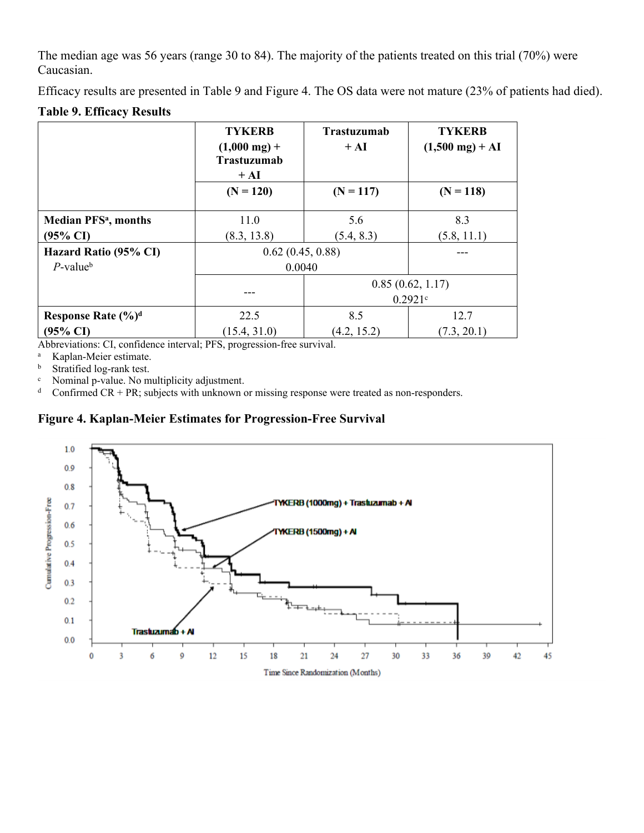The median age was 56 years (range 30 to 84). The majority of the patients treated on this trial (70%) were Caucasian.

Efficacy results are presented in Table 9 and Figure 4. The OS data were not mature (23% of patients had died).

#### **Table 9. Efficacy Results**

|                                        | <b>TYKERB</b><br>$(1,000 \text{ mg}) +$<br><b>Trastuzumab</b><br>$+ AI$ | <b>Trastuzumab</b><br>$+ AI$ | <b>TYKERB</b><br>$(1,500 \text{ mg}) + AI$ |
|----------------------------------------|-------------------------------------------------------------------------|------------------------------|--------------------------------------------|
|                                        | $(N = 120)$                                                             | $(N = 117)$                  | $(N = 118)$                                |
| <b>Median PFS<sup>a</sup></b> , months | 11.0                                                                    | 5.6                          | 8.3                                        |
| $(95\% \text{ CI})$                    | (8.3, 13.8)                                                             | (5.4, 8.3)                   | (5.8, 11.1)                                |
| Hazard Ratio (95% CI)                  | 0.62(0.45, 0.88)                                                        |                              |                                            |
| $P$ -value <sup>b</sup>                | 0.0040                                                                  |                              |                                            |
|                                        |                                                                         |                              | 0.85(0.62, 1.17)                           |
|                                        |                                                                         |                              | 0.2921c                                    |
| Response Rate (%) <sup>d</sup>         | 22.5                                                                    | 8.5                          | 12.7                                       |
| $(95\% \text{ CI})$                    | (15.4, 31.0)                                                            | (4.2, 15.2)                  | (7.3, 20.1)                                |

Abbreviations: CI, confidence interval; PFS, progression-free survival.

<sup>a</sup> Kaplan-Meier estimate.

b Stratified log-rank test.

<sup>c</sup> Nominal p-value. No multiplicity adjustment.

<sup>d</sup> Confirmed CR + PR; subjects with unknown or missing response were treated as non-responders.

#### **Figure 4. Kaplan-Meier Estimates for Progression-Free Survival**

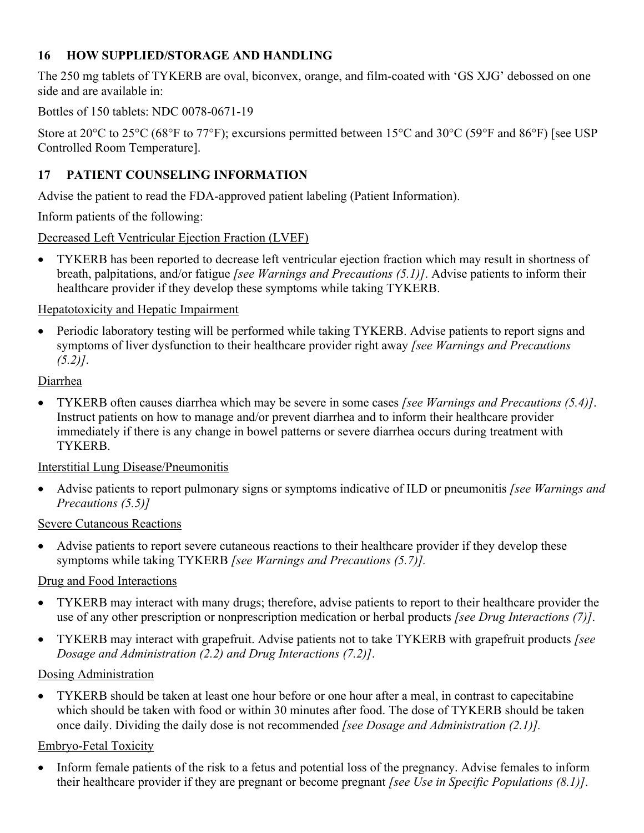## <span id="page-20-0"></span>**16 HOW SUPPLIED/STORAGE AND HANDLING**

The 250 mg tablets of TYKERB are oval, biconvex, orange, and film-coated with 'GS XJG' debossed on one side and are available in:

### Bottles of 150 tablets: NDC 0078-0671-19

Store at 20 $^{\circ}$ C to 25 $^{\circ}$ C (68 $^{\circ}$ F to 77 $^{\circ}$ F); excursions permitted between 15 $^{\circ}$ C and 30 $^{\circ}$ C (59 $^{\circ}$ F and 86 $^{\circ}$ F) [see USP Controlled Room Temperature].

## <span id="page-20-1"></span>**17 PATIENT COUNSELING INFORMATION**

Advise the patient to read the FDA-approved patient labeling (Patient Information).

Inform patients of the following:

Decreased Left Ventricular Ejection Fraction (LVEF)

 TYKERB has been reported to decrease left ventricular ejection fraction which may result in shortness of breath, palpitations, and/or fatigue *[see Warnings and Precautions (5.1)]*. Advise patients to inform their healthcare provider if they develop these symptoms while taking TYKERB.

### Hepatotoxicity and Hepatic Impairment

• Periodic laboratory testing will be performed while taking TYKERB. Advise patients to report signs and symptoms of liver dysfunction to their healthcare provider right away *[see Warnings and Precautions (5.2)]*.

#### **Diarrhea**

 TYKERB often causes diarrhea which may be severe in some cases *[see Warnings and Precautions (5.4)]*. Instruct patients on how to manage and/or prevent diarrhea and to inform their healthcare provider immediately if there is any change in bowel patterns or severe diarrhea occurs during treatment with TYKERB.

## Interstitial Lung Disease/Pneumonitis

 Advise patients to report pulmonary signs or symptoms indicative of ILD or pneumonitis *[see Warnings and Precautions (5.5)]*

#### Severe Cutaneous Reactions

 Advise patients to report severe cutaneous reactions to their healthcare provider if they develop these symptoms while taking TYKERB *[see Warnings and Precautions (5.7)].*

## Drug and Food Interactions

- TYKERB may interact with many drugs; therefore, advise patients to report to their healthcare provider the use of any other prescription or nonprescription medication or herbal products *[see Drug Interactions (7)]*.
- TYKERB may interact with grapefruit. Advise patients not to take TYKERB with grapefruit products *[see Dosage and Administration (2.2) and Drug Interactions (7.2)]*.

## Dosing Administration

 TYKERB should be taken at least one hour before or one hour after a meal, in contrast to capecitabine which should be taken with food or within 30 minutes after food. The dose of TYKERB should be taken once daily. Dividing the daily dose is not recommended *[see Dosage and Administration (2.1)].*

## Embryo-Fetal Toxicity

• Inform female patients of the risk to a fetus and potential loss of the pregnancy. Advise females to inform their healthcare provider if they are pregnant or become pregnant *[see Use in Specific Populations (8.1)]*.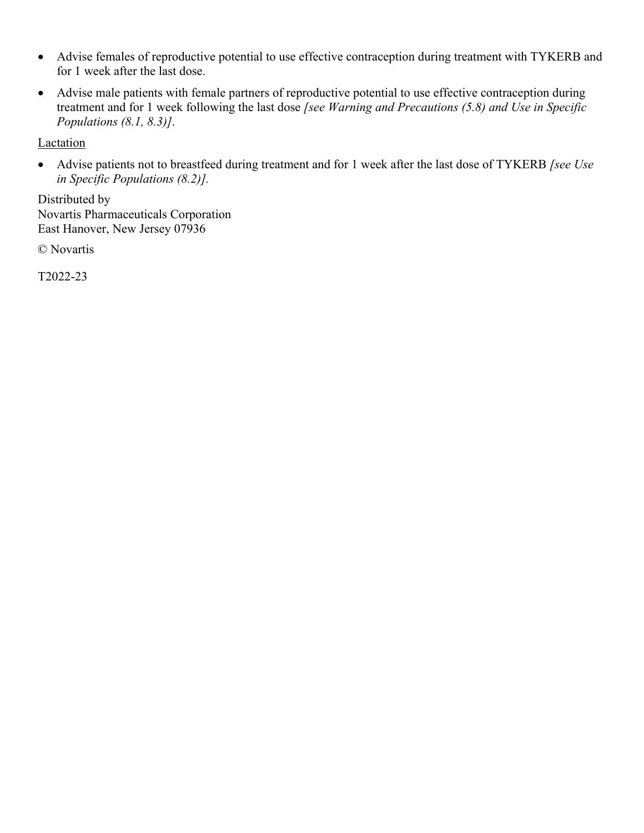- Advise females of reproductive potential to use effective contraception during treatment with TYKERB and for 1 week after the last dose.
- Advise male patients with female partners of reproductive potential to use effective contraception during treatment and for 1 week following the last dose *[see Warning and Precautions (5.8) and Use in Specific Populations (8.1, 8.3)]*.

Lactation

 Advise patients not to breastfeed during treatment and for 1 week after the last dose of TYKERB *[see Use in Specific Populations (8.2)].*

Distributed by Novartis Pharmaceuticals Corporation East Hanover, New Jersey 07936

© Novartis

T2022-23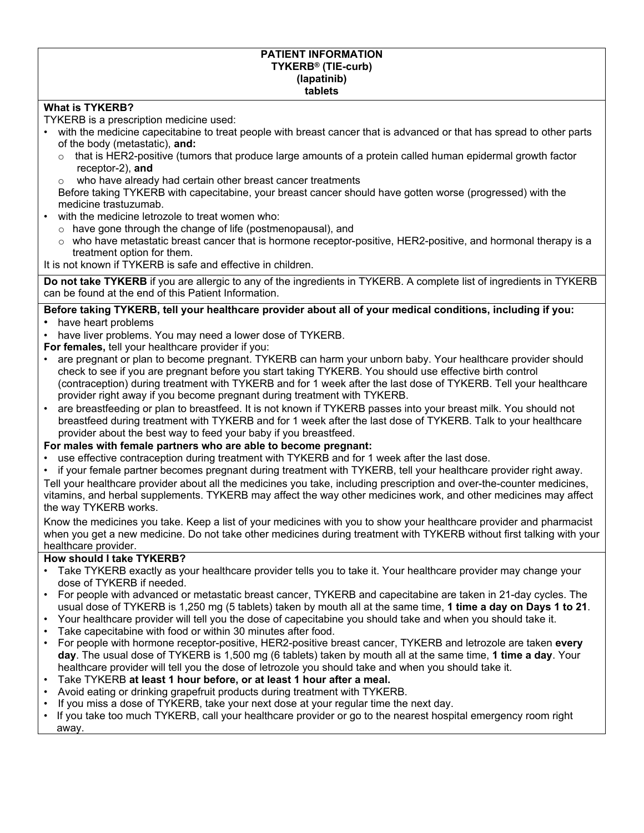#### **PATIENT INFORMATION TYKERB® (TIE-curb) (lapatinib) tablets**

#### **What is TYKERB?**

TYKERB is a prescription medicine used:

- with the medicine capecitabine to treat people with breast cancer that is advanced or that has spread to other parts of the body (metastatic), **and:**
	- $\circ$  that is HER2-positive (tumors that produce large amounts of a protein called human epidermal growth factor receptor-2), **and**
	- o who have already had certain other breast cancer treatments

Before taking TYKERB with capecitabine, your breast cancer should have gotten worse (progressed) with the medicine trastuzumab.

- with the medicine letrozole to treat women who:
	- o have gone through the change of life (postmenopausal), and
	- o who have metastatic breast cancer that is hormone receptor-positive, HER2-positive, and hormonal therapy is a treatment option for them.

It is not known if TYKERB is safe and effective in children.

**Do not take TYKERB** if you are allergic to any of the ingredients in TYKERB. A complete list of ingredients in TYKERB can be found at the end of this Patient Information.

#### **Before taking TYKERB, tell your healthcare provider about all of your medical conditions, including if you:** • have heart problems

- have liver problems. You may need a lower dose of TYKERB.
- **For females,** tell your healthcare provider if you:
- are pregnant or plan to become pregnant. TYKERB can harm your unborn baby. Your healthcare provider should check to see if you are pregnant before you start taking TYKERB. You should use effective birth control (contraception) during treatment with TYKERB and for 1 week after the last dose of TYKERB. Tell your healthcare provider right away if you become pregnant during treatment with TYKERB.
- are breastfeeding or plan to breastfeed. It is not known if TYKERB passes into your breast milk. You should not breastfeed during treatment with TYKERB and for 1 week after the last dose of TYKERB. Talk to your healthcare provider about the best way to feed your baby if you breastfeed.

#### **For males with female partners who are able to become pregnant:**

- use effective contraception during treatment with TYKERB and for 1 week after the last dose.
- if your female partner becomes pregnant during treatment with TYKERB, tell your healthcare provider right away.

Tell your healthcare provider about all the medicines you take, including prescription and over-the-counter medicines, vitamins, and herbal supplements. TYKERB may affect the way other medicines work, and other medicines may affect the way TYKERB works.

Know the medicines you take. Keep a list of your medicines with you to show your healthcare provider and pharmacist when you get a new medicine. Do not take other medicines during treatment with TYKERB without first talking with your healthcare provider.

#### **How should I take TYKERB?**

- Take TYKERB exactly as your healthcare provider tells you to take it. Your healthcare provider may change your dose of TYKERB if needed.
- For people with advanced or metastatic breast cancer, TYKERB and capecitabine are taken in 21-day cycles. The usual dose of TYKERB is 1,250 mg (5 tablets) taken by mouth all at the same time, **1 time a day on Days 1 to 21**.
- Your healthcare provider will tell you the dose of capecitabine you should take and when you should take it.
- Take capecitabine with food or within 30 minutes after food.
- For people with hormone receptor-positive, HER2-positive breast cancer, TYKERB and letrozole are taken **every day**. The usual dose of TYKERB is 1,500 mg (6 tablets) taken by mouth all at the same time, **1 time a day**. Your healthcare provider will tell you the dose of letrozole you should take and when you should take it.
- Take TYKERB **at least 1 hour before, or at least 1 hour after a meal.**
- Avoid eating or drinking grapefruit products during treatment with TYKERB.
- If you miss a dose of TYKERB, take your next dose at your regular time the next day.
- If you take too much TYKERB, call your healthcare provider or go to the nearest hospital emergency room right away.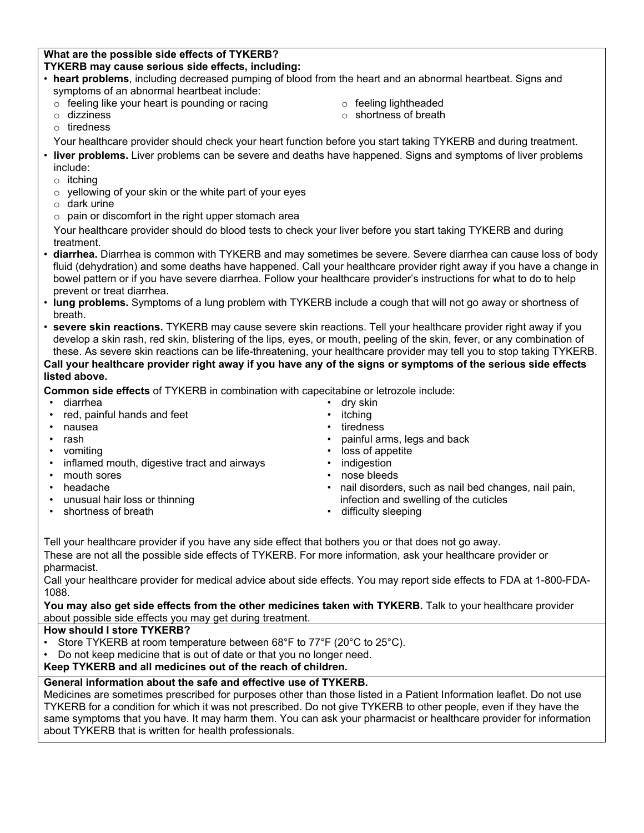#### **What are the possible side effects of TYKERB? TYKERB may cause serious side effects, including:**

- **heart problems**, including decreased pumping of blood from the heart and an abnormal heartbeat. Signs and symptoms of an abnormal heartbeat include:
	- o feeling like your heart is pounding or racing
	- o dizziness
- o feeling lightheaded
- o shortness of breath
- o tiredness
- Your healthcare provider should check your heart function before you start taking TYKERB and during treatment.
- **liver problems.** Liver problems can be severe and deaths have happened. Signs and symptoms of liver problems include:
	- o itching
	- $\circ$  yellowing of your skin or the white part of your eyes
	- o dark urine
	- $\circ$  pain or discomfort in the right upper stomach area

Your healthcare provider should do blood tests to check your liver before you start taking TYKERB and during treatment.

- **diarrhea.** Diarrhea is common with TYKERB and may sometimes be severe. Severe diarrhea can cause loss of body fluid (dehydration) and some deaths have happened. Call your healthcare provider right away if you have a change in bowel pattern or if you have severe diarrhea. Follow your healthcare provider's instructions for what to do to help prevent or treat diarrhea.
- **lung problems.** Symptoms of a lung problem with TYKERB include a cough that will not go away or shortness of breath.
- **severe skin reactions.** TYKERB may cause severe skin reactions. Tell your healthcare provider right away if you develop a skin rash, red skin, blistering of the lips, eyes, or mouth, peeling of the skin, fever, or any combination of these. As severe skin reactions can be life-threatening, your healthcare provider may tell you to stop taking TYKERB.

**Call your healthcare provider right away if you have any of the signs or symptoms of the serious side effects listed above.**

**Common side effects** of TYKERB in combination with capecitabine or letrozole include:

- diarrhea
- red, painful hands and feet
- nausea
- rash
- vomiting
- inflamed mouth, digestive tract and airways
- mouth sores
- headache
- unusual hair loss or thinning
- shortness of breath
- dry skin
- 
- 
- painful arms, legs and back
- loss of appetite
- indigestion
- nose bleeds
- nail disorders, such as nail bed changes, nail pain, infection and swelling of the cuticles
- difficulty sleeping

Tell your healthcare provider if you have any side effect that bothers you or that does not go away. These are not all the possible side effects of TYKERB. For more information, ask your healthcare provider or pharmacist.

Call your healthcare provider for medical advice about side effects. You may report side effects to FDA at 1-800-FDA-1088.

You may also get side effects from the other medicines taken with TYKERB. Talk to your healthcare provider about possible side effects you may get during treatment.

#### **How should I store TYKERB?**

- Store TYKERB at room temperature between 68°F to 77°F (20°C to 25°C).
- Do not keep medicine that is out of date or that you no longer need.

#### **Keep TYKERB and all medicines out of the reach of children.**

#### **General information about the safe and effective use of TYKERB.**

Medicines are sometimes prescribed for purposes other than those listed in a Patient Information leaflet. Do not use TYKERB for a condition for which it was not prescribed. Do not give TYKERB to other people, even if they have the same symptoms that you have. It may harm them. You can ask your pharmacist or healthcare provider for information about TYKERB that is written for health professionals.

- **itching tiredness** 
	-